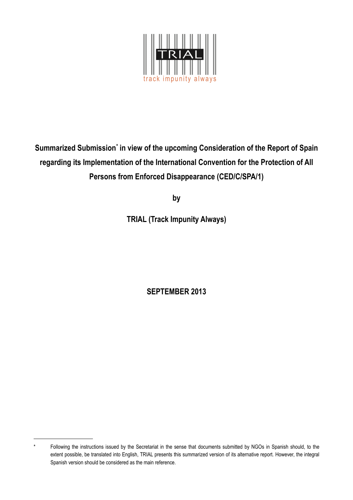

Summarized Submission<sup>\*</sup> in view of the upcoming Consideration of the Report of Spain **regarding its Implementation of the International Convention for the Protection of All Persons from Enforced Disappearance (CED/C/SPA/1)**

**by**

**TRIAL (Track Impunity Always)**

**SEPTEMBER 2013**

Following the instructions issued by the Secretariat in the sense that documents submitted by NGOs in Spanish should, to the extent possible, be translated into English, TRIAL presents this summarized version of its alternative report. However, the integral Spanish version should be considered as the main reference.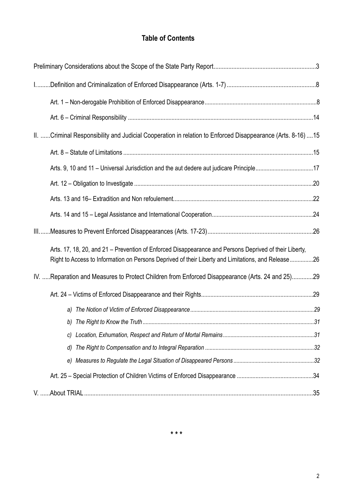# **Table of Contents**

| II. Criminal Responsibility and Judicial Cooperation in relation to Enforced Disappearance (Arts. 8-16) 15                                                                                                   |  |
|--------------------------------------------------------------------------------------------------------------------------------------------------------------------------------------------------------------|--|
|                                                                                                                                                                                                              |  |
| Arts. 9, 10 and 11 - Universal Jurisdiction and the aut dedere aut judicare Principle17                                                                                                                      |  |
|                                                                                                                                                                                                              |  |
|                                                                                                                                                                                                              |  |
|                                                                                                                                                                                                              |  |
|                                                                                                                                                                                                              |  |
| Arts. 17, 18, 20, and 21 – Prevention of Enforced Disappearance and Persons Deprived of their Liberty,<br>Right to Access to Information on Persons Deprived of their Liberty and Limitations, and Release26 |  |
| IV. Reparation and Measures to Protect Children from Enforced Disappearance (Arts. 24 and 25)29                                                                                                              |  |
|                                                                                                                                                                                                              |  |
|                                                                                                                                                                                                              |  |
|                                                                                                                                                                                                              |  |
|                                                                                                                                                                                                              |  |
| d)                                                                                                                                                                                                           |  |
|                                                                                                                                                                                                              |  |
|                                                                                                                                                                                                              |  |
|                                                                                                                                                                                                              |  |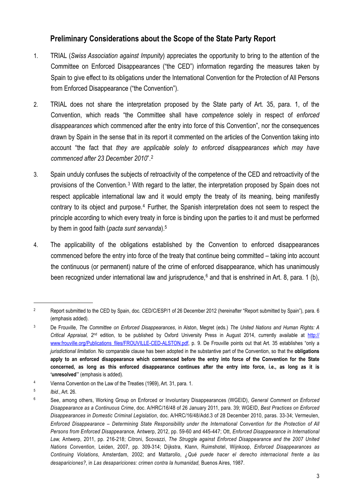# <span id="page-2-0"></span> **Preliminary Considerations about the Scope of the State Party Report**

- 1. TRIAL (*Swiss Association against Impunity*) appreciates the opportunity to bring to the attention of the Committee on Enforced Disappearances ("the CED") information regarding the measures taken by Spain to give effect to its obligations under the International Convention for the Protection of All Persons from Enforced Disappearance ("the Convention").
- 2. TRIAL does not share the interpretation proposed by the State party of Art. 35, para. 1, of the Convention, which reads "the Committee shall have *competence* solely in respect of *enforced disappearances* which commenced after the entry into force of this Convention", nor the consequences drawn by Spain in the sense that in its report it commented on the articles of the Convention taking into account "the fact that *they are applicable solely to enforced disappearances which may have commenced after 23 December 2010*".[2](#page-2-1)
- 3. Spain unduly confuses the subjects of retroactivity of the competence of the CED and retroactivity of the provisions of the Convention.[3](#page-2-2) With regard to the latter, the interpretation proposed by Spain does not respect applicable international law and it would empty the treaty of its meaning, being manifestly contrary to its object and purpose.<sup>4</sup> Further, the Spanish interpretation does not seem to respect the principle according to which every treaty in force is binding upon the parties to it and must be performed by them in good faith (*pacta sunt servanda*).[5](#page-2-4)
- 4. The applicability of the obligations established by the Convention to enforced disappearances commenced before the entry into force of the treaty that continue being committed – taking into account the continuous (or permanent) nature of the crime of enforced disappearance, which has unanimously been recognized under international law and jurisprudence,<sup>6</sup> and that is enshrined in Art. 8, para. 1 (b),

<span id="page-2-1"></span><sup>&</sup>lt;sup>2</sup> Report submitted to the CED by Spain, doc. CED/C/ESP/1 of 26 December 2012 (hereinafter "Report submitted by Spain"), para. 6 (emphasis added).

<span id="page-2-2"></span><sup>3</sup> De Frouville, *The Committee on Enforced Disappearances*, in Alston, Megret (eds.) *The United Nations and Human Rights: A Critical Appraisal,* 2nd edition, to be published by Oxford University Press in August 2014, currently available at [http://](http://www.frouville.org/Publications_files/FROUVILLE-CED-ALSTON.pdf) [www.frouville.org/Publications\\_files/FROUVILLE-CED-ALSTON.pdf](http://www.frouville.org/Publications_files/FROUVILLE-CED-ALSTON.pdf), p. 9. De Frouville points out that Art. 35 establishes "only a *jurisdictional limitation.* No comparable clause has been adopted in the substantive part of the Convention, so that the **obligations apply to an enforced disappearance which commenced before the entry into force of the Convention for the State concerned, as long as this enforced disappearance continues after the entry into force, i.e., as long as it is 'unresolved**'" (emphasis is added).

<span id="page-2-3"></span><sup>4</sup> Vienna Convention on the Law of the Treaties (1969), Art. 31, para. 1.

<span id="page-2-4"></span><sup>5</sup> *Ibid.*, Art. 26.

<span id="page-2-5"></span><sup>6</sup> See, among others, Working Group on Enforced or Involuntary Disappearances (WGEID), *General Comment on Enforced Disappearance as a Continuous Crime*, doc. A/HRC/16/48 of 26 January 2011, para. 39; WGEID, *Best Practices on Enforced Disappearances in Domestic Criminal Legislation*, doc. A/HRC/16/48/Add.3 of 28 December 2010, paras. 33-34; Vermeulen, *Enforced Disappearance – Determining State Responsibility under the International Convention for the Protection of All Persons from Enforced Disappearance,* Antwerp, 2012, pp. 59-60 and 445-447; Ott, *Enforced Disappearance in International Law,* Antwerp, 2011, pp. 216-218; Citroni, Scovazzi, *The Struggle against Enforced Disappearance and the 2007 United Nations Convention*, Leiden, 2007, pp. 309-314; Dijkstra, Klann, Ruimshotel, Wijnkoop, *Enforced Disappearances as Continuing Violations*, Amsterdam, 2002; and Mattarollo, *¿Qué puede hacer el derecho internacional frente a las desapariciones?*, in *Las desapariciones: crimen contra la humanidad,* Buenos Aires, 1987.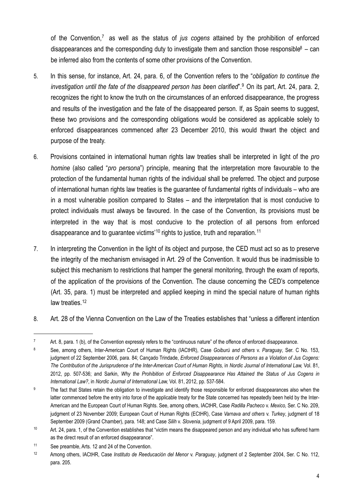of the Convention,[7](#page-3-0) as well as the status of *jus cogens* attained by the prohibition of enforced disappearances and the corresponding duty to investigate them and sanction those responsible<sup>8</sup> – can be inferred also from the contents of some other provisions of the Convention.

- 5. In this sense, for instance, Art. 24, para. 6, of the Convention refers to the "*obligation to continue the investigation until the fate of the disappeared person has been clarified*".[9](#page-3-2) On its part, Art. 24, para. 2, recognizes the right to know the truth on the circumstances of an enforced disappearance, the progress and results of the investigation and the fate of the disappeared person. If, as Spain seems to suggest, these two provisions and the corresponding obligations would be considered as applicable solely to enforced disappearances commenced after 23 December 2010, this would thwart the object and purpose of the treaty.
- 6. Provisions contained in international human rights law treaties shall be interpreted in light of the *pro homine* (also called "*pro persona*") principle, meaning that the interpretation more favourable to the protection of the fundamental human rights of the individual shall be preferred. The object and purpose of international human rights law treaties is the guarantee of fundamental rights of individuals – who are in a most vulnerable position compared to States – and the interpretation that is most conducive to protect individuals must always be favoured. In the case of the Convention, its provisions must be interpreted in the way that is most conducive to the protection of all persons from enforced disappearance and to guarantee victims'<sup>10</sup> rights to justice, truth and reparation.<sup>[11](#page-3-4)</sup>
- 7. In interpreting the Convention in the light of its object and purpose, the CED must act so as to preserve the integrity of the mechanism envisaged in Art. 29 of the Convention. It would thus be inadmissible to subject this mechanism to restrictions that hamper the general monitoring, through the exam of reports, of the application of the provisions of the Convention. The clause concerning the CED's competence (Art. 35, para. 1) must be interpreted and applied keeping in mind the special nature of human rights law treaties. [12](#page-3-5)
- 8. Art. 28 of the Vienna Convention on the Law of the Treaties establishes that "unless a different intention

<span id="page-3-0"></span><sup>7</sup> Art. 8, para. 1 (b), of the Convention expressly refers to the "continuous nature" of the offence of enforced disappearance.

<span id="page-3-1"></span><sup>8</sup> See, among others, Inter-American Court of Human Rights (IACtHR), Case *Goiburú and others* v. *Paraguay*, Ser. C No. 153, judgment of 22 September 2006, para. 84; Cançado Trindade, *Enforced Disappearances of Persons as a Violation of Jus Cogens:*  The Contribution of the Jurisprudence of the Inter-American Court of Human Rights, in Nordic Journal of International Law, Vol. 81, 2012, pp. 507-536; and Sarkin, *Why the Prohibition of Enforced Disappearance Has Attained the Status of Jus Cogens in International Law?*, in *Nordic Journal of International Law,* Vol. 81, 2012, pp. 537-584.

<span id="page-3-2"></span><sup>&</sup>lt;sup>9</sup> The fact that States retain the obligation to investigate and identify those responsible for enforced disappearances also when the latter commenced before the entry into force of the applicable treaty for the State concerned has repeatedly been held by the Inter-American and the European Court of Human Rights. See, among others, IACtHR, Case *Radilla Pacheco* v. *Mexico,* Ser. C No. 209, judgment of 23 November 2009; European Court of Human Rights (ECtHR), Case *Varnava and others* v. *Turkey*, judgment of 18 September 2009 (Grand Chamber), para. 148; and Case *Silih* v. *Slovenia*, judgment of 9 April 2009, para. 159.

<span id="page-3-3"></span><sup>10</sup> Art. 24, para. 1, of the Convention establishes that "victim means the disappeared person and any individual who has suffered harm as the direct result of an enforced disappearance".

<span id="page-3-4"></span><sup>11</sup> See preamble, Arts. 12 and 24 of the Convention.

<span id="page-3-5"></span><sup>12</sup> Among others, IACtHR, Case *Instituto de Reeducación del Menor* v. *Paraguay*, judgment of 2 September 2004, Ser. C No. 112, para. 205.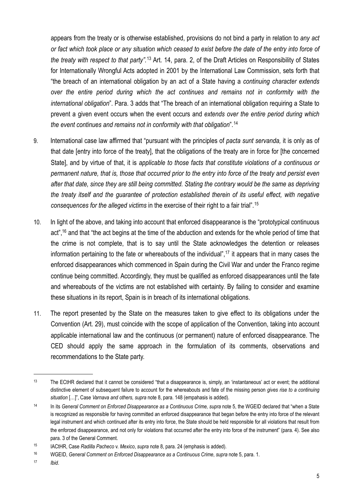appears from the treaty or is otherwise established, provisions do not bind a party in relation to *any act or fact which took place or any situation which ceased to exist before the date of the entry into force of the treaty with respect to that party".*[13](#page-4-0) Art. 14, para. 2, of the Draft Articles on Responsibility of States for Internationally Wrongful Acts adopted in 2001 by the International Law Commission, sets forth that "the breach of an international obligation by an act of a State having a *continuing character extends over the entire period during which the act continues and remains not in conformity with the international obligation*". Para. 3 adds that "The breach of an international obligation requiring a State to prevent a given event occurs when the event occurs and *extends over the entire period during which the event continues and remains not in conformity with that obligation*".[14](#page-4-1)

- 9. International case law affirmed that "pursuant with the principles of *pacta sunt servanda,* it is only as of that date [entry into force of the treaty], that the obligations of the treaty are in force for [the concerned State], and by virtue of that, it is *applicable to those facts that constitute violations of a continuous or permanent nature, that is, those that occurred prior to the entry into force of the treaty and persist even after that date, since they are still being committed. Stating the contrary would be the same as depriving the treaty itself and the guarantee of protection established therein of its useful effect, with negative consequences for the alleged victims* in the exercise of their right to a fair trial".[15](#page-4-2)
- 10. In light of the above, and taking into account that enforced disappearance is the "prototypical continuous act",<sup>16</sup> and that "the act begins at the time of the abduction and extends for the whole period of time that the crime is not complete, that is to say until the State acknowledges the detention or releases information pertaining to the fate or whereabouts of the individual",<sup>17</sup> it appears that in many cases the enforced disappearances which commenced in Spain during the Civil War and under the Franco regime continue being committed. Accordingly, they must be qualified as enforced disappearances until the fate and whereabouts of the victims are not established with certainty. By failing to consider and examine these situations in its report, Spain is in breach of its international obligations.
- 11. The report presented by the State on the measures taken to give effect to its obligations under the Convention (Art. 29), must coincide with the scope of application of the Convention, taking into account applicable international law and the continuous (or permanent) nature of enforced disappearance. The CED should apply the same approach in the formulation of its comments, observations and recommendations to the State party.

<span id="page-4-0"></span><sup>&</sup>lt;sup>13</sup> The ECtHR declared that it cannot be considered "that a disappearance is, simply, an 'instantaneous' act or event; the additional distinctive element of subsequent failure to account for the whereabouts and fate of the missing person *gives rise to a continuing situation* […]", Case *Varnava and others, supra* note 8, para. 148 (empahasis is added).

<span id="page-4-1"></span><sup>&</sup>lt;sup>14</sup> In its *General Comment on Enforced Disappearance as a Continuous Crime, supra note 5, the WGEID declared that "when a State"* is recognized as responsible for having committed an enforced disappearance that began before the entry into force of the relevant legal instrument and which continued after its entry into force, the State should be held responsible for all violations that result from the enforced disappearance, and not only for violations that occurred after the entry into force of the instrument" (para. 4). See also para. 3 of the General Comment.

<span id="page-4-2"></span><sup>15</sup> IACtHR, Case *Radilla Pacheco* v. *Mexico*, *supra* note 8, para. 24 (emphasis is added).

<span id="page-4-3"></span><sup>16</sup> WGEID, *General Comment on Enforced Disappearance as a Continuous Crime*, *supra* note 5, para. 1.

<span id="page-4-4"></span><sup>17</sup> *Ibid*.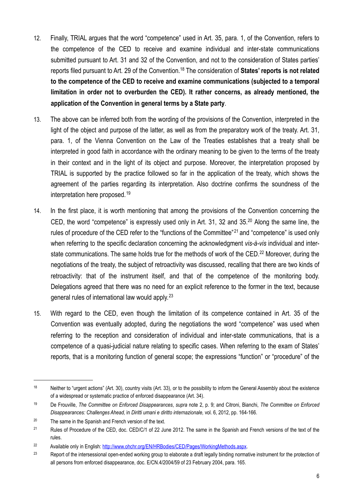- 12. Finally, TRIAL argues that the word "competence" used in Art. 35, para. 1, of the Convention, refers to the competence of the CED to receive and examine individual and inter-state communications submitted pursuant to Art. 31 and 32 of the Convention, and not to the consideration of States parties' reports filed pursuant to Art. 29 of the Convention.[18](#page-5-0) The consideration of **States' reports is not related to the competence of the CED to receive and examine communications (subjected to a temporal limitation in order not to overburden the CED). It rather concerns, as already mentioned, the application of the Convention in general terms by a State party**.
- 13. The above can be inferred both from the wording of the provisions of the Convention, interpreted in the light of the object and purpose of the latter, as well as from the preparatory work of the treaty. Art. 31, para. 1, of the Vienna Convention on the Law of the Treaties establishes that a treaty shall be interpreted in good faith in accordance with the ordinary meaning to be given to the terms of the treaty in their context and in the light of its object and purpose. Moreover, the interpretation proposed by TRIAL is supported by the practice followed so far in the application of the treaty, which shows the agreement of the parties regarding its interpretation. Also doctrine confirms the soundness of the interpretation here proposed. [19](#page-5-1)
- 14. In the first place, it is worth mentioning that among the provisions of the Convention concerning the CED, the word "competence" is expressly used only in Art. 31, 32 and 35.[20](#page-5-2) Along the same line, the rules of procedure of the CED refer to the "functions of the Committee"<sup>21</sup> and "competence" is used only when referring to the specific declaration concerning the acknowledgment *vis-à-vis* individual and interstate communications. The same holds true for the methods of work of the CED.<sup>22</sup> Moreover, during the negotiations of the treaty, the subject of retroactivity was discussed, recalling that there are two kinds of retroactivity: that of the instrument itself, and that of the competence of the monitoring body. Delegations agreed that there was no need for an explicit reference to the former in the text, because general rules of international law would apply.[23](#page-5-5)
- 15. With regard to the CED, even though the limitation of its competence contained in Art. 35 of the Convention was eventually adopted, during the negotiations the word "competence" was used when referring to the reception and consideration of individual and inter-state communications, that is a competence of a quasi-judicial nature relating to specific cases. When referring to the exam of States' reports, that is a monitoring function of general scope; the expressions "function" or "procedure" of the

<span id="page-5-0"></span><sup>&</sup>lt;sup>18</sup> Neither to "urgent actions" (Art. 30), country visits (Art. 33), or to the possibility to inform the General Assembly about the existence of a widespread or systematic practice of enforced disappearance (Art. 34).

<span id="page-5-1"></span><sup>19</sup> De Frouville, *The Committee on Enforced Disappearances*, *supra* note 2, p. 9; and Citroni, Bianchi, *The Committee on Enforced Disappearances: Challenges Ahead,* in *Diritti umani e diritto internazionale,* vol. 6, 2012, pp. 164-166.

<span id="page-5-2"></span> $20$  The same in the Spanish and French version of the text.

<span id="page-5-3"></span><sup>&</sup>lt;sup>21</sup> Rules of Procedure of the CED, doc. CED/C/1 of 22 June 2012. The same in the Spanish and French versions of the text of the rules.

<span id="page-5-4"></span><sup>&</sup>lt;sup>22</sup> Available only in English: [http://www.ohchr.org/EN/HRBodies/CED/Pages/WorkingMethods.aspx.](http://www.ohchr.org/EN/HRBodies/CED/Pages/WorkingMethods.aspx)

<span id="page-5-5"></span><sup>&</sup>lt;sup>23</sup> Report of the intersessional open-ended working group to elaborate a draft legally binding normative instrument for the protection of all persons from enforced disappearance, doc. E/CN.4/2004/59 of 23 February 2004, para. 165.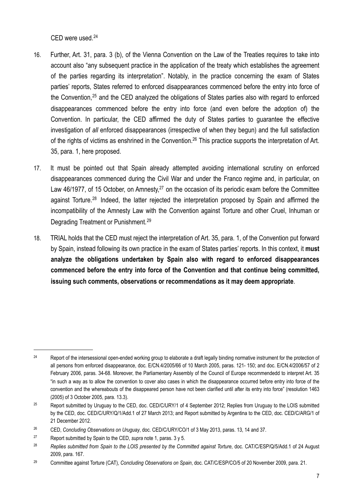CED were used.[24](#page-6-0)

- 16. Further, Art. 31, para. 3 (b), of the Vienna Convention on the Law of the Treaties requires to take into account also "any subsequent practice in the application of the treaty which establishes the agreement of the parties regarding its interpretation". Notably, in the practice concerning the exam of States parties' reports, States referred to enforced disappearances commenced before the entry into force of the Convention,<sup>25</sup> and the CED analyzed the obligations of States parties also with regard to enforced disappearances commenced before the entry into force (and even before the adoption of) the Convention. In particular, the CED affirmed the duty of States parties to guarantee the effective investigation of *all* enforced disappearances (irrespective of when they begun) and the full satisfaction of the rights of victims as enshrined in the Convention.<sup>26</sup> This practice supports the interpretation of Art. 35, para. 1, here proposed.
- 17. It must be pointed out that Spain already attempted avoiding international scrutiny on enforced disappearances commenced during the Civil War and under the Franco regime and, in particular, on Law 46/1977, of 15 October, on Amnesty,<sup>27</sup> on the occasion of its periodic exam before the Committee against Torture.[28](#page-6-4) Indeed, the latter rejected the interpretation proposed by Spain and affirmed the incompatibility of the Amnesty Law with the Convention against Torture and other Cruel, Inhuman or Degrading Treatment or Punishment.[29](#page-6-5)
- 18. TRIAL holds that the CED must reject the interpretation of Art. 35, para. 1, of the Convention put forward by Spain, instead following its own practice in the exam of States parties' reports. In this context, it **must analyze the obligations undertaken by Spain also with regard to enforced disappearances commenced before the entry into force of the Convention and that continue being committed, issuing such comments, observations or recommendations as it may deem appropriate**.

<span id="page-6-0"></span><sup>&</sup>lt;sup>24</sup> Report of the intersessional open-ended working group to elaborate a draft legally binding normative instrument for the protection of all persons from enforced disappearance, doc. E/CN.4/2005/66 of 10 March 2005, paras. 121- 150; and doc. E/CN.4/2006/57 of 2 February 2006, paras. 34-68. Moreover, the Parliamentary Assembly of the Council of Europe recommendedd to interpret Art. 35 "in such a way as to allow the convention to cover also cases in which the disappearance occurred before entry into force of the convention and the whereabouts of the disappeared person have not been clarified until after its entry into force" (resolution 1463 (2005) of 3 October 2005, para. 13.3).

<span id="page-6-1"></span><sup>&</sup>lt;sup>25</sup> Report submitted by Uruguay to the CED, doc. CED/C/URY/1 of 4 September 2012; Replies from Uruguay to the LOIS submitted by the CED, doc. CED/C/URY/Q/1/Add.1 of 27 March 2013; and Report submitted by Argentina to the CED, doc. CED/C/ARG/1 of 21 December 2012.

<span id="page-6-2"></span><sup>26</sup> CED, *Concluding Observations on Uruguay*, doc. CED/C/URY/CO/1 of 3 May 2013, paras. 13, 14 and 37.

<span id="page-6-3"></span><sup>27</sup> Report submitted by Spain to the CED, *supra* note 1, paras. 3 y 5.

<span id="page-6-4"></span><sup>&</sup>lt;sup>28</sup> Replies submitted from Spain to the LOIS presented by the Committed against Torture, doc. CAT/C/ESP/Q/5/Add.1 of 24 August 2009, para. 167.

<span id="page-6-5"></span><sup>29</sup> Committee against Torture (CAT), *Concluding Observations on Spain*, doc. CAT/C/ESP/CO/5 of 20 November 2009, para. 21.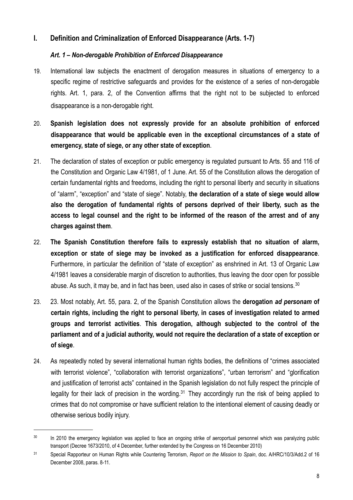# <span id="page-7-0"></span>**I. Definition and Criminalization of Enforced Disappearance (Arts. 1-7)**

# <span id="page-7-1"></span>*Art. 1 – Non-derogable Prohibition of Enforced Disappearance*

- 19. International law subjects the enactment of derogation measures in situations of emergency to a specific regime of restrictive safeguards and provides for the existence of a series of non-derogable rights. Art. 1, para. 2, of the Convention affirms that the right not to be subjected to enforced disappearance is a non-derogable right.
- 20. **Spanish legislation does not expressly provide for an absolute prohibition of enforced disappearance that would be applicable even in the exceptional circumstances of a state of emergency, state of siege, or any other state of exception**.
- 21. The declaration of states of exception or public emergency is regulated pursuant to Arts. 55 and 116 of the Constitution and Organic Law 4/1981, of 1 June. Art. 55 of the Constitution allows the derogation of certain fundamental rights and freedoms, including the right to personal liberty and security in situations of "alarm", "exception" and "state of siege". Notably, **the declaration of a state of siege would allow also the derogation of fundamental rights of persons deprived of their liberty, such as the access to legal counsel and the right to be informed of the reason of the arrest and of any charges against them**.
- 22. **The Spanish Constitution therefore fails to expressly establish that no situation of alarm, exception or state of siege may be invoked as a justification for enforced disappearance**. Furthermore, in particular the definition of "state of exception" as enshrined in Art. 13 of Organic Law 4/1981 leaves a considerable margin of discretion to authorities, thus leaving the door open for possible abuse. As such, it may be, and in fact has been, used also in cases of strike or social tensions.<sup>[30](#page-7-2)</sup>
- 23. 23. Most notably, Art. 55, para. 2, of the Spanish Constitution allows the **derogation** *ad personam* **of certain rights, including the right to personal liberty, in cases of investigation related to armed groups and terrorist activities**. **This derogation, although subjected to the control of the parliament and of a judicial authority, would not require the declaration of a state of exception or of siege**.
- 24. As repeatedly noted by several international human rights bodies, the definitions of "crimes associated with terrorist violence", "collaboration with terrorist organizations", "urban terrorism" and "glorification and justification of terrorist acts" contained in the Spanish legislation do not fully respect the principle of legality for their lack of precision in the wording.<sup>31</sup> They accordingly run the risk of being applied to crimes that do not compromise or have sufficient relation to the intentional element of causing deadly or otherwise serious bodily injury.

<span id="page-7-2"></span><sup>&</sup>lt;sup>30</sup> In 2010 the emergency legislation was applied to face an ongoing strike of aeroportual personnel which was paralyzing public transport (Decree 1673/2010, of 4 December, further extended by the Congress on 16 December 2010)

<span id="page-7-3"></span><sup>31</sup> Special Rapporteur on Human Rights while Countering Terrorism, *Report on the Mission to Spain*, doc. A/HRC/10/3/Add.2 of 16 December 2008, paras. 8-11.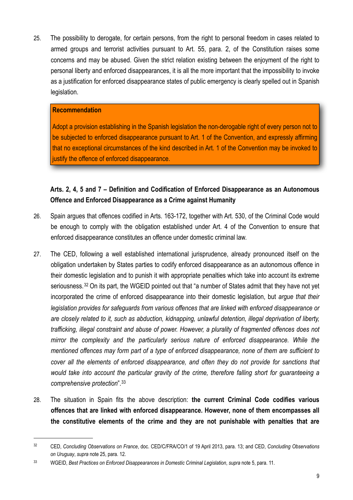25. The possibility to derogate, for certain persons, from the right to personal freedom in cases related to armed groups and terrorist activities pursuant to Art. 55, para. 2, of the Constitution raises some concerns and may be abused. Given the strict relation existing between the enjoyment of the right to personal liberty and enforced disappearances, it is all the more important that the impossibility to invoke as a justification for enforced disappearance states of public emergency is clearly spelled out in Spanish legislation.

#### **Recommendation**

Adopt a provision establishing in the Spanish legislation the non-derogable right of every person not to be subjected to enforced disappearance pursuant to Art. 1 of the Convention, and expressly affirming that no exceptional circumstances of the kind described in Art. 1 of the Convention may be invoked to justify the offence of enforced disappearance.

# **Arts. 2, 4, 5 and 7 – Definition and Codification of Enforced Disappearance as an Autonomous Offence and Enforced Disappearance as a Crime against Humanity**

- 26. Spain argues that offences codified in Arts. 163-172, together with Art. 530, of the Criminal Code would be enough to comply with the obligation established under Art. 4 of the Convention to ensure that enforced disappearance constitutes an offence under domestic criminal law.
- 27. The CED, following a well established international jurisprudence, already pronounced itself on the obligation undertaken by States parties to codify enforced disappearance as an autonomous offence in their domestic legislation and to punish it with appropriate penalties which take into account its extreme seriousness.<sup>32</sup> On its part, the WGEID pointed out that "a number of States admit that they have not yet incorporated the crime of enforced disappearance into their domestic legislation, but *argue that their legislation provides for safeguards from various offences that are linked with enforced disappearance or are closely related to it, such as abduction, kidnapping, unlawful detention, illegal deprivation of liberty, trafficking, illegal constraint and abuse of power. However, a plurality of fragmented offences does not mirror the complexity and the particularly serious nature of enforced disappearance. While the mentioned offences may form part of a type of enforced disappearance, none of them are sufficient to cover all the elements of enforced disappearance, and often they do not provide for sanctions that would take into account the particular gravity of the crime, therefore falling short for guaranteeing a comprehensive protection*".[33](#page-8-1)
- 28. The situation in Spain fits the above description: **the current Criminal Code codifies various offences that are linked with enforced disappearance. However, none of them encompasses all the constitutive elements of the crime and they are not punishable with penalties that are**

<span id="page-8-0"></span><sup>32</sup> CED, *Concluding Observations on France*, doc. CED/C/FRA/CO/1 of 19 April 2013, para. 13; and CED, *Concluding Observations on Uruguay*, *supra* note 25, para. 12.

<span id="page-8-1"></span><sup>33</sup> WGEID, *Best Practices on Enforced Disappearances in Domestic Criminal Legislation*, *supra* note 5, para. 11.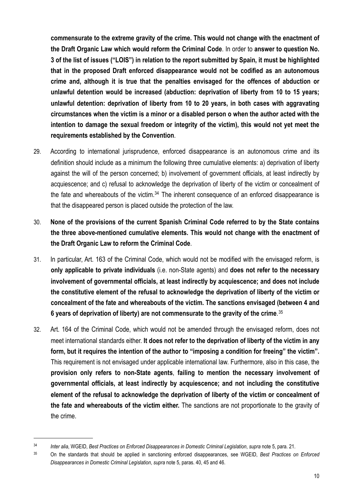**commensurate to the extreme gravity of the crime. This would not change with the enactment of the Draft Organic Law which would reform the Criminal Code**. In order to **answer to question No. 3 of the list of issues ("LOIS") in relation to the report submitted by Spain, it must be highlighted that in the proposed Draft enforced disappearance would not be codified as an autonomous crime and, although it is true that the penalties envisaged for the offences of abduction or unlawful detention would be increased (abduction: deprivation of liberty from 10 to 15 years; unlawful detention: deprivation of liberty from 10 to 20 years, in both cases with aggravating circumstances when the victim is a minor or a disabled person o when the author acted with the intention to damage the sexual freedom or integrity of the victim), this would not yet meet the requirements established by the Convention**.

- 29. According to international jurisprudence, enforced disappearance is an autonomous crime and its definition should include as a minimum the following three cumulative elements: a) deprivation of liberty against the will of the person concerned; b) involvement of government officials, at least indirectly by acquiescence; and c) refusal to acknowledge the deprivation of liberty of the victim or concealment of the fate and whereabouts of the victim. $34$  The inherent consequence of an enforced disappearance is that the disappeared person is placed outside the protection of the law.
- 30. **None of the provisions of the current Spanish Criminal Code referred to by the State contains the three above-mentioned cumulative elements. This would not change with the enactment of the Draft Organic Law to reform the Criminal Code**.
- 31. In particular, Art. 163 of the Criminal Code, which would not be modified with the envisaged reform, is **only applicable to private individuals** (i.e. non-State agents) and **does not refer to the necessary involvement of governmental officials, at least indirectly by acquiescence; and does not include the constitutive element of the refusal to acknowledge the deprivation of liberty of the victim or concealment of the fate and whereabouts of the victim. The sanctions envisaged (between 4 and 6 years of deprivation of liberty) are not commensurate to the gravity of the crime**. [35](#page-9-1)
- 32. Art. 164 of the Criminal Code, which would not be amended through the envisaged reform, does not meet international standards either. **It does not refer to the deprivation of liberty of the victim in any form, but it requires the intention of the author to "imposing a condition for freeing" the victim".** This requirement is not envisaged under applicable international law. Furthermore, also in this case, the **provision only refers to non-State agents**, **failing to mention the necessary involvement of governmental officials, at least indirectly by acquiescence; and not including the constitutive element of the refusal to acknowledge the deprivation of liberty of the victim or concealment of the fate and whereabouts of the victim either.** The sanctions are not proportionate to the gravity of the crime.

<span id="page-9-0"></span><sup>34</sup> *Inter alia*, WGEID, *Best Practices on Enforced Disappearances in Domestic Criminal Legislation*, *supra* note 5, para. 21.

<span id="page-9-1"></span><sup>35</sup> On the standards that should be applied in sanctioning enforced disappearances, see WGEID, *Best Practices on Enforced Disappearances in Domestic Criminal Legislation*, *supra* note 5, paras. 40, 45 and 46.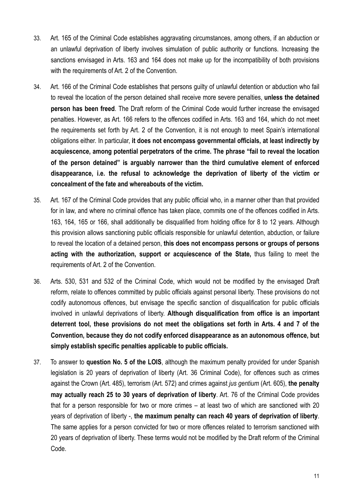- 33. Art. 165 of the Criminal Code establishes aggravating circumstances, among others, if an abduction or an unlawful deprivation of liberty involves simulation of public authority or functions. Increasing the sanctions envisaged in Arts. 163 and 164 does not make up for the incompatibility of both provisions with the requirements of Art. 2 of the Convention.
- 34. Art. 166 of the Criminal Code establishes that persons guilty of unlawful detention or abduction who fail to reveal the location of the person detained shall receive more severe penalties, **unless the detained person has been freed**. The Draft reform of the Criminal Code would further increase the envisaged penalties. However, as Art. 166 refers to the offences codified in Arts. 163 and 164, which do not meet the requirements set forth by Art. 2 of the Convention, it is not enough to meet Spain's international obligations either. In particular, **it does not encompass governmental officials, at least indirectly by acquiescence, among potential perpetrators of the crime. The phrase "fail to reveal the location of the person detained" is arguably narrower than the third cumulative element of enforced disappearance, i.e. the refusal to acknowledge the deprivation of liberty of the victim or concealment of the fate and whereabouts of the victim.**
- 35. Art. 167 of the Criminal Code provides that any public official who, in a manner other than that provided for in law, and where no criminal offence has taken place, commits one of the offences codified in Arts. 163, 164, 165 or 166, shall additionally be disqualified from holding office for 8 to 12 years. Although this provision allows sanctioning public officials responsible for unlawful detention, abduction, or failure to reveal the location of a detained person, **this does not encompass persons or groups of persons acting with the authorization, support or acquiescence of the State,** thus failing to meet the requirements of Art. 2 of the Convention.
- 36. Arts. 530, 531 and 532 of the Criminal Code, which would not be modified by the envisaged Draft reform, relate to offences committed by public officials against personal liberty. These provisions do not codify autonomous offences, but envisage the specific sanction of disqualification for public officials involved in unlawful deprivations of liberty. **Although disqualification from office is an important deterrent tool, these provisions do not meet the obligations set forth in Arts. 4 and 7 of the Convention, because they do not codify enforced disappearance as an autonomous offence, but simply establish specific penalties applicable to public officials.**
- 37. To answer to **question No. 5 of the LOIS**, although the maximum penalty provided for under Spanish legislation is 20 years of deprivation of liberty (Art. 36 Criminal Code), for offences such as crimes against the Crown (Art. 485), terrorism (Art. 572) and crimes against *jus gentium* (Art. 605), **the penalty may actually reach 25 to 30 years of deprivation of liberty**. Art. 76 of the Criminal Code provides that for a person responsible for two or more crimes – at least two of which are sanctioned with 20 years of deprivation of liberty -, **the maximum penalty can reach 40 years of deprivation of liberty**. The same applies for a person convicted for two or more offences related to terrorism sanctioned with 20 years of deprivation of liberty. These terms would not be modified by the Draft reform of the Criminal Code.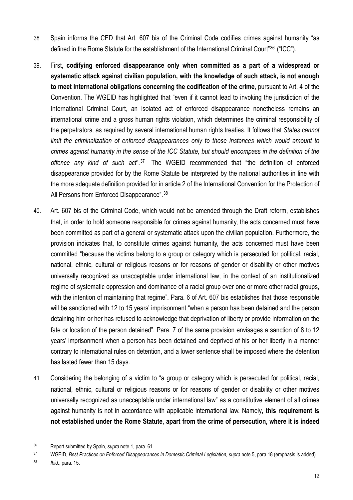- 38. Spain informs the CED that Art. 607 bis of the Criminal Code codifies crimes against humanity "as defined in the Rome Statute for the establishment of the International Criminal Court<sup>"[36](#page-11-0)</sup> ("ICC").
- 39. First, **codifying enforced disappearance only when committed as a part of a widespread or systematic attack against civilian population, with the knowledge of such attack, is not enough to meet international obligations concerning the codification of the crime**, pursuant to Art. 4 of the Convention. The WGEID has highlighted that "even if it cannot lead to invoking the jurisdiction of the International Criminal Court, an isolated act of enforced disappearance nonetheless remains an international crime and a gross human rights violation, which determines the criminal responsibility of the perpetrators, as required by several international human rights treaties. It follows that *States cannot limit the criminalization of enforced disappearances only to those instances which would amount to crimes against humanity in the sense of the ICC Statute, but should encompass in the definition of the offence any kind of such act*".[37](#page-11-1) The WGEID recommended that "the definition of enforced disappearance provided for by the Rome Statute be interpreted by the national authorities in line with the more adequate definition provided for in article 2 of the International Convention for the Protection of All Persons from Enforced Disappearance". [38](#page-11-2)
- 40. Art. 607 bis of the Criminal Code, which would not be amended through the Draft reform, establishes that, in order to hold someone responsible for crimes against humanity, the acts concerned must have been committed as part of a general or systematic attack upon the civilian population. Furthermore, the provision indicates that, to constitute crimes against humanity, the acts concerned must have been committed "because the victims belong to a group or category which is persecuted for political, racial, national, ethnic, cultural or religious reasons or for reasons of gender or disability or other motives universally recognized as unacceptable under international law; in the context of an institutionalized regime of systematic oppression and dominance of a racial group over one or more other racial groups, with the intention of maintaining that regime". Para. 6 of Art. 607 bis establishes that those responsible will be sanctioned with 12 to 15 years' imprisonment "when a person has been detained and the person detaining him or her has refused to acknowledge that deprivation of liberty or provide information on the fate or location of the person detained". Para. 7 of the same provision envisages a sanction of 8 to 12 years' imprisonment when a person has been detained and deprived of his or her liberty in a manner contrary to international rules on detention, and a lower sentence shall be imposed where the detention has lasted fewer than 15 days.
- 41. Considering the belonging of a victim to "a group or category which is persecuted for political, racial, national, ethnic, cultural or religious reasons or for reasons of gender or disability or other motives universally recognized as unacceptable under international law" as a constitutive element of all crimes against humanity is not in accordance with applicable international law. Namely**, this requirement is not established under the Rome Statute, apart from the crime of persecution, where it is indeed**

<span id="page-11-2"></span>38 *Ibid*., para. 15.

<span id="page-11-0"></span><sup>36</sup> Report submitted by Spain, *supra* note 1, para. 61.

<span id="page-11-1"></span><sup>&</sup>lt;sup>37</sup> WGEID, Best Practices on Enforced Disappearances in Domestic Criminal Legislation, supra note 5, para.18 (emphasis is added).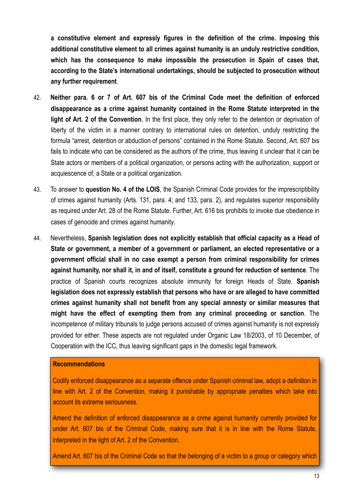**a constitutive element and expressly figures in the definition of the crime. Imposing this additional constitutive element to all crimes against humanity is an unduly restrictive condition, which has the consequence to make impossible the prosecution in Spain of cases that, according to the State's international undertakings, should be subjected to prosecution without any further requirement**.

- 42. **Neither para. 6 or 7 of Art. 607 bis of the Criminal Code meet the definition of enforced disappearance as a crime against humanity contained in the Rome Statute interpreted in the light of Art. 2 of the Convention**. In the first place, they only refer to the detention or deprivation of liberty of the victim in a manner contrary to international rules on detention, unduly restricting the formula "arrest, detention or abduction of persons" contained in the Rome Statute. Second, Art. 607 bis fails to indicate who can be considered as the authors of the crime, thus leaving it unclear that it can be State actors or members of a political organization, or persons acting with the authorization, support or acquiescence of, a State or a political organization.
- 43. To answer to **question No. 4 of the LOIS**, the Spanish Criminal Code provides for the imprescriptibility of crimes against humanity (Arts. 131, para. 4; and 133, para. 2), and regulates superior responsibility as required under Art. 28 of the Rome Statute. Further, Art. 616 bis prohibits to invoke due obedience in cases of genocide and crimes against humanity.
- 44. Nevertheless, **Spanish legislation does not explicitly establish that official capacity as a Head of State or government, a member of a government or parliament, an elected representative or a government official shall in no case exempt a person from criminal responsibility for crimes against humanity, nor shall it, in and of itself, constitute a ground for reduction of sentence**. The practice of Spanish courts recognizes absolute immunity for foreign Heads of State. **Spanish legislation does not expressly establish that persons who have or are alleged to have committed crimes against humanity shall not benefit from any special amnesty or similar measures that might have the effect of exempting them from any criminal proceeding or sanction**. The incompetence of military tribunals to judge persons accused of crimes against humanity is not expressly provided for either. These aspects are not regulated under Organic Law 18/2003, of 10 December, of Cooperation with the ICC, thus leaving significant gaps in the domestic legal framework.

#### **Recommendations**

Codify enforced disappearance as a separate offence under Spanish criminal law, adopt a definition in line with Art. 2 of the Convention, making it punishable by appropriate penalties which take into account its extreme seriousness.

Amend the definition of enforced disappearance as a crime against humanity currently provided for under Art. 607 bis of the Criminal Code, making sure that it is in line with the Rome Statute, interpreted in the light of Art. 2 of the Convention.

Amend Art. 607 bis of the Criminal Code so that the belonging of a victim to a group or category which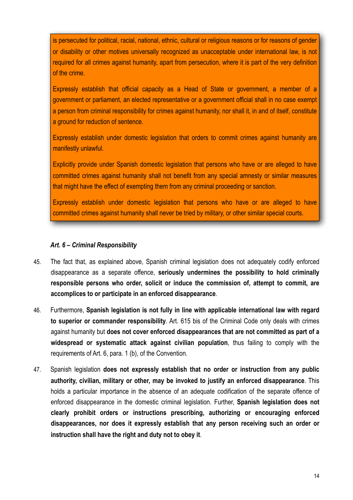is persecuted for political, racial, national, ethnic, cultural or religious reasons or for reasons of gender or disability or other motives universally recognized as unacceptable under international law, is not required for all crimes against humanity, apart from persecution, where it is part of the very definition of the crime.

Expressly establish that official capacity as a Head of State or government, a member of a government or parliament, an elected representative or a government official shall in no case exempt a person from criminal responsibility for crimes against humanity, nor shall it, in and of itself, constitute a ground for reduction of sentence.

Expressly establish under domestic legislation that orders to commit crimes against humanity are manifestly unlawful.

Explicitly provide under Spanish domestic legislation that persons who have or are alleged to have committed crimes against humanity shall not benefit from any special amnesty or similar measures that might have the effect of exempting them from any criminal proceeding or sanction.

Expressly establish under domestic legislation that persons who have or are alleged to have committed crimes against humanity shall never be tried by military, or other similar special courts.

## <span id="page-13-0"></span>*Art. 6 – Criminal Responsibility*

- 45. The fact that, as explained above, Spanish criminal legislation does not adequately codify enforced disappearance as a separate offence, **seriously undermines the possibility to hold criminally responsible persons who order, solicit or induce the commission of, attempt to commit, are accomplices to or participate in an enforced disappearance**.
- 46. Furthermore, **Spanish legislation is not fully in line with applicable international law with regard to superior or commander responsibility**. Art. 615 bis of the Criminal Code only deals with crimes against humanity but **does not cover enforced disappearances that are not committed as part of a widespread or systematic attack against civilian population**, thus failing to comply with the requirements of Art. 6, para. 1 (b), of the Convention.
- 47. Spanish legislation **does not expressly establish that no order or instruction from any public authority, civilian, military or other, may be invoked to justify an enforced disappearance**. This holds a particular importance in the absence of an adequate codification of the separate offence of enforced disappearance in the domestic criminal legislation. Further, **Spanish legislation does not clearly prohibit orders or instructions prescribing, authorizing or encouraging enforced disappearances, nor does it expressly establish that any person receiving such an order or instruction shall have the right and duty not to obey it**.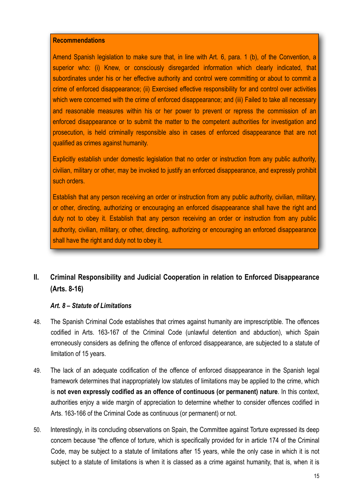#### **Recommendations**

Amend Spanish legislation to make sure that, in line with Art. 6, para, 1 (b), of the Convention, a superior who: (i) Knew, or consciously disregarded information which clearly indicated, that subordinates under his or her effective authority and control were committing or about to commit a crime of enforced disappearance; (ii) Exercised effective responsibility for and control over activities which were concerned with the crime of enforced disappearance; and (iii) Failed to take all necessary and reasonable measures within his or her power to prevent or repress the commission of an enforced disappearance or to submit the matter to the competent authorities for investigation and prosecution, is held criminally responsible also in cases of enforced disappearance that are not qualified as crimes against humanity.

Explicitly establish under domestic legislation that no order or instruction from any public authority, civilian, military or other, may be invoked to justify an enforced disappearance, and expressly prohibit such orders.

Establish that any person receiving an order or instruction from any public authority, civilian, military, or other, directing, authorizing or encouraging an enforced disappearance shall have the right and duty not to obey it. Establish that any person receiving an order or instruction from any public authority, civilian, military, or other, directing, authorizing or encouraging an enforced disappearance shall have the right and duty not to obey it.

# <span id="page-14-0"></span>**II. Criminal Responsibility and Judicial Cooperation in relation to Enforced Disappearance (Arts. 8-16)**

## <span id="page-14-1"></span>*Art. 8 – Statute of Limitations*

- 48. The Spanish Criminal Code establishes that crimes against humanity are imprescriptible. The offences codified in Arts. 163-167 of the Criminal Code (unlawful detention and abduction), which Spain erroneously considers as defining the offence of enforced disappearance, are subjected to a statute of limitation of 15 years.
- 49. The lack of an adequate codification of the offence of enforced disappearance in the Spanish legal framework determines that inappropriately low statutes of limitations may be applied to the crime, which is **not even expressly codified as an offence of continuous (or permanent) nature**. In this context, authorities enjoy a wide margin of appreciation to determine whether to consider offences codified in Arts. 163-166 of the Criminal Code as continuous (or permanent) or not.
- 50. Interestingly, in its concluding observations on Spain, the Committee against Torture expressed its deep concern because "the offence of torture, which is specifically provided for in article 174 of the Criminal Code, may be subject to a statute of limitations after 15 years, while the only case in which it is not subject to a statute of limitations is when it is classed as a crime against humanity, that is, when it is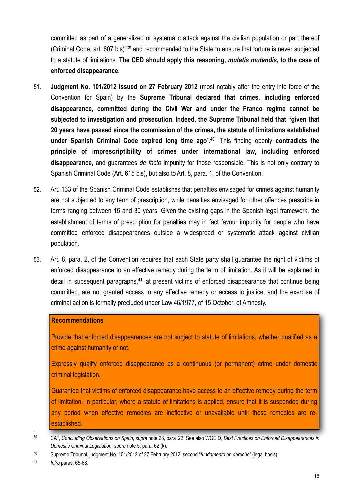committed as part of a generalized or systematic attack against the civilian population or part thereof (Criminal Code, art. 607 bis)"[39](#page-15-0) and recommended to the State to ensure that torture is never subjected to a statute of limitations. **The CED should apply this reasoning,** *mutatis mutandis***, to the case of enforced disappearance.**

- 51. **Judgment No. 101/2012 issued on 27 February 2012** (most notably after the entry into force of the Convention for Spain) by the **Supreme Tribunal declared that crimes, including enforced disappearance, committed during the Civil War and under the Franco regime cannot be subjected to investigation and prosecution. Indeed, the Supreme Tribunal held that "given that 20 years have passed since the commission of the crimes, the statute of limitations established under Spanish Criminal Code expired long time ago**".[40](#page-15-1) This finding openly **contradicts the principle of imprescriptibility of crimes under international law, including enforced disappearance**, and guarantees *de facto* impunity for those responsible. This is not only contrary to Spanish Criminal Code (Art. 615 bis), but also to Art. 8, para. 1, of the Convention.
- 52. Art. 133 of the Spanish Criminal Code establishes that penalties envisaged for crimes against humanity are not subjected to any term of prescription, while penalties envisaged for other offences prescribe in terms ranging between 15 and 30 years. Given the existing gaps in the Spanish legal framework, the establishment of terms of prescription for penalties may in fact favour impunity for people who have committed enforced disappearances outside a widespread or systematic attack against civilian population.
- 53. Art. 8, para. 2, of the Convention requires that each State party shall guarantee the right of victims of enforced disappearance to an effective remedy during the term of limitation. As it will be explained in detail in subsequent paragraphs, $41$  at present victims of enforced disappearance that continue being committed, are not granted access to any effective remedy or access to justice, and the exercise of criminal action is formally precluded under Law 46/1977, of 15 October, of Amnesty.

#### **Recommendations**

Provide that enforced disappearances are not subject to statute of limitations, whether qualified as a crime against humanity or not.

Expressly qualify enforced disappearance as a continuous (or permanent) crime under domestic criminal legislation.

Guarantee that victims of enforced disappearance have access to an effective remedy during the term of limitation. In particular, where a statute of limitations is applied, ensure that it is suspended during any period when effective remedies are ineffective or unavailable until these remedies are reestablished.

<span id="page-15-2"></span>41 *Infra* paras. 65-68.

<span id="page-15-0"></span><sup>39</sup> CAT, *Concluding Observations on Spain*, *supra* note 28, para. 22. See also WGEID, *Best Practices on Enforced Disappearances in Domestic Criminal Legislation*, *supra* note 5, para. 62 (k).

<span id="page-15-1"></span><sup>40</sup> Supreme Tribunal, judgment No. 101/2012 of 27 February 2012, second "*fundamento en derecho*" (legal basis).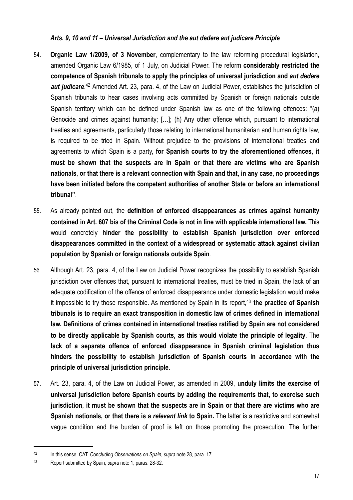## <span id="page-16-0"></span>*Arts. 9, 10 and 11 – Universal Jurisdiction and the aut dedere aut judicare Principle*

- 54. **Organic Law 1/2009, of 3 November**, complementary to the law reforming procedural legislation, amended Organic Law 6/1985, of 1 July, on Judicial Power. The reform **considerably restricted the competence of Spanish tribunals to apply the principles of universal jurisdiction and** *aut dedere*  aut judicare.<sup>42</sup> Amended Art. 23, para. 4, of the Law on Judicial Power, establishes the jurisdiction of Spanish tribunals to hear cases involving acts committed by Spanish or foreign nationals outside Spanish territory which can be defined under Spanish law as one of the following offences: "(a) Genocide and crimes against humanity; […]; (h) Any other offence which, pursuant to international treaties and agreements, particularly those relating to international humanitarian and human rights law, is required to be tried in Spain. Without prejudice to the provisions of international treaties and agreements to which Spain is a party, **for Spanish courts to try the aforementioned offences, it must be shown that the suspects are in Spain or that there are victims who are Spanish nationals**, **or that there is a relevant connection with Spain and that, in any case, no proceedings have been initiated before the competent authorities of another State or before an international tribunal"**.
- 55. As already pointed out, the **definition of enforced disappearances as crimes against humanity contained in Art. 607 bis of the Criminal Code is not in line with applicable international law.** This would concretely **hinder the possibility to establish Spanish jurisdiction over enforced disappearances committed in the context of a widespread or systematic attack against civilian population by Spanish or foreign nationals outside Spain**.
- 56. Although Art. 23, para. 4, of the Law on Judicial Power recognizes the possibility to establish Spanish jurisdiction over offences that, pursuant to international treaties, must be tried in Spain, the lack of an adequate codification of the offence of enforced disappearance under domestic legislation would make it impossible to try those responsible. As mentioned by Spain in its report,<sup>[43](#page-16-2)</sup> the practice of Spanish **tribunals is to require an exact transposition in domestic law of crimes defined in international law. Definitions of crimes contained in international treaties ratified by Spain are not considered to be directly applicable by Spanish courts, as this would violate the principle of legality**. The **lack of a separate offence of enforced disappearance in Spanish criminal legislation thus hinders the possibility to establish jurisdiction of Spanish courts in accordance with the principle of universal jurisdiction principle.**
- 57. Art. 23, para. 4, of the Law on Judicial Power, as amended in 2009, **unduly limits the exercise of universal jurisdiction before Spanish courts by adding the requirements that, to exercise such jurisdiction**, **it must be shown that the suspects are in Spain or that there are victims who are Spanish nationals, or that there is a** *relevant link* **to Spain.** The latter is a restrictive and somewhat vague condition and the burden of proof is left on those promoting the prosecution. The further

<span id="page-16-1"></span><sup>42</sup> In this sense, CAT, *Concluding Observations on Spain*, *supra* note 28, para. 17.

<span id="page-16-2"></span><sup>43</sup> Report submitted by Spain, *supra* note 1, paras. 28-32.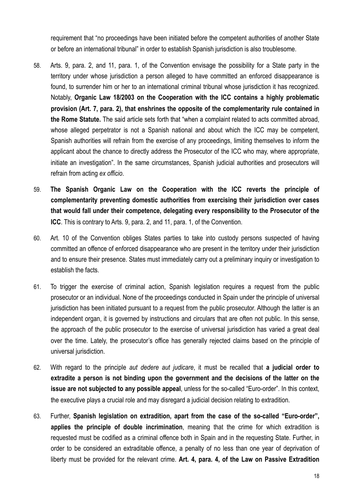requirement that "no proceedings have been initiated before the competent authorities of another State or before an international tribunal" in order to establish Spanish jurisdiction is also troublesome.

- 58. Arts. 9, para. 2, and 11, para. 1, of the Convention envisage the possibility for a State party in the territory under whose jurisdiction a person alleged to have committed an enforced disappearance is found, to surrender him or her to an international criminal tribunal whose jurisdiction it has recognized. Notably, **Organic Law 18/2003 on the Cooperation with the ICC contains a highly problematic provision (Art. 7, para. 2), that enshrines the opposite of the complementarity rule contained in the Rome Statute.** The said article sets forth that "when a complaint related to acts committed abroad, whose alleged perpetrator is not a Spanish national and about which the ICC may be competent, Spanish authorities will refrain from the exercise of any proceedings, limiting themselves to inform the applicant about the chance to directly address the Prosecutor of the ICC who may, where appropriate, initiate an investigation". In the same circumstances, Spanish judicial authorities and prosecutors will refrain from acting *ex officio*.
- 59. **The Spanish Organic Law on the Cooperation with the ICC reverts the principle of complementarity preventing domestic authorities from exercising their jurisdiction over cases that would fall under their competence, delegating every responsibility to the Prosecutor of the ICC**. This is contrary to Arts. 9, para. 2, and 11, para. 1, of the Convention.
- 60. Art. 10 of the Convention obliges States parties to take into custody persons suspected of having committed an offence of enforced disappearance who are present in the territory under their jurisdiction and to ensure their presence. States must immediately carry out a preliminary inquiry or investigation to establish the facts.
- 61. To trigger the exercise of criminal action, Spanish legislation requires a request from the public prosecutor or an individual. None of the proceedings conducted in Spain under the principle of universal jurisdiction has been initiated pursuant to a request from the public prosecutor. Although the latter is an independent organ, it is governed by instructions and circulars that are often not public. In this sense, the approach of the public prosecutor to the exercise of universal jurisdiction has varied a great deal over the time. Lately, the prosecutor's office has generally rejected claims based on the principle of universal jurisdiction.
- 62. With regard to the principle *aut dedere aut judicare*, it must be recalled that **a judicial order to extradite a person is not binding upon the government and the decisions of the latter on the issue are not subjected to any possible appeal**, unless for the so-called "Euro-order". In this context, the executive plays a crucial role and may disregard a judicial decision relating to extradition.
- 63. Further, **Spanish legislation on extradition, apart from the case of the so-called "Euro-order", applies the principle of double incrimination**, meaning that the crime for which extradition is requested must be codified as a criminal offence both in Spain and in the requesting State. Further, in order to be considered an extraditable offence, a penalty of no less than one year of deprivation of liberty must be provided for the relevant crime. **Art. 4, para. 4, of the Law on Passive Extradition**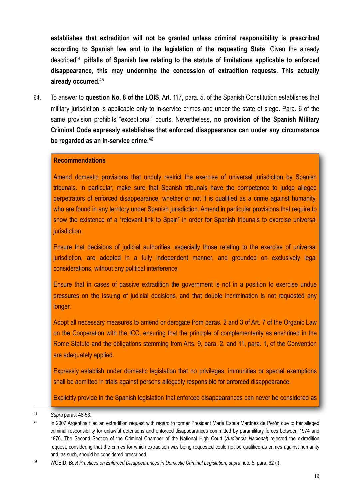**establishes that extradition will not be granted unless criminal responsibility is prescribed according to Spanish law and to the legislation of the requesting State**. Given the already describe[d44](#page-18-0) **pitfalls of Spanish law relating to the statute of limitations applicable to enforced disappearance, this may undermine the concession of extradition requests. This actually already occurred.**[45](#page-18-1)

64. To answer to **question No. 8 of the LOIS**, Art. 117, para. 5, of the Spanish Constitution establishes that military jurisdiction is applicable only to in-service crimes and under the state of siege. Para. 6 of the same provision prohibits "exceptional" courts. Nevertheless, **no provision of the Spanish Military Criminal Code expressly establishes that enforced disappearance can under any circumstance be regarded as an in-service crime**. [46](#page-18-2)

#### **Recommendations**

Amend domestic provisions that unduly restrict the exercise of universal jurisdiction by Spanish tribunals. In particular, make sure that Spanish tribunals have the competence to judge alleged perpetrators of enforced disappearance, whether or not it is qualified as a crime against humanity, who are found in any territory under Spanish jurisdiction. Amend in particular provisions that require to show the existence of a "relevant link to Spain" in order for Spanish tribunals to exercise universal jurisdiction.

Ensure that decisions of judicial authorities, especially those relating to the exercise of universal jurisdiction, are adopted in a fully independent manner, and grounded on exclusively legal considerations, without any political interference.

Ensure that in cases of passive extradition the government is not in a position to exercise undue pressures on the issuing of judicial decisions, and that double incrimination is not requested any longer.

Adopt all necessary measures to amend or derogate from paras. 2 and 3 of Art. 7 of the Organic Law on the Cooperation with the ICC, ensuring that the principle of complementarity as enshrined in the Rome Statute and the obligations stemming from Arts. 9, para. 2, and 11, para. 1, of the Convention are adequately applied.

Expressly establish under domestic legislation that no privileges, immunities or special exemptions shall be admitted in trials against persons allegedly responsible for enforced disappearance.

Explicitly provide in the Spanish legislation that enforced disappearances can never be considered as

<span id="page-18-0"></span><sup>44</sup> *Supra* paras. 48-53.

<span id="page-18-1"></span><sup>&</sup>lt;sup>45</sup> In 2007 Argentina filed an extradition request with regard to former President María Estela Martínez de Perón due to her alleged criminal responsibility for unlawful detentions and enforced disappearances committed by paramilitary forces between 1974 and 1976. The Second Section of the Criminal Chamber of the National High Court (*Audiencia Nacional*) rejected the extradition request, considering that the crimes for which extradition was being requested could not be qualified as crimes against humanity and, as such, should be considered prescribed.

<span id="page-18-2"></span><sup>46</sup> WGEID, *Best Practices on Enforced Disappearances in Domestic Criminal Legislation, supra* note 5, para. 62 (l).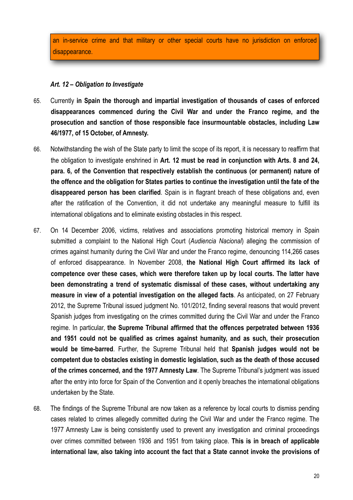an in-service crime and that military or other special courts have no jurisdiction on enforced disappearance.

## <span id="page-19-0"></span>*Art. 12 – Obligation to Investigate*

- 65. Currently **in Spain the thorough and impartial investigation of thousands of cases of enforced disappearances commenced during the Civil War and under the Franco regime, and the prosecution and sanction of those responsible face insurmountable obstacles, including Law 46/1977, of 15 October, of Amnesty.**
- 66. Notwithstanding the wish of the State party to limit the scope of its report, it is necessary to reaffirm that the obligation to investigate enshrined in **Art. 12 must be read in conjunction with Arts. 8 and 24, para. 6, of the Convention that respectively establish the continuous (or permanent) nature of the offence and the obligation for States parties to continue the investigation until the fate of the disappeared person has been clarified**. Spain is in flagrant breach of these obligations and, even after the ratification of the Convention, it did not undertake any meaningful measure to fulfill its international obligations and to eliminate existing obstacles in this respect.
- 67. On 14 December 2006, victims, relatives and associations promoting historical memory in Spain submitted a complaint to the National High Court (*Audiencia Nacional*) alleging the commission of crimes against humanity during the Civil War and under the Franco regime, denouncing 114,266 cases of enforced disappearance. In November 2008, **the National High Court affirmed its lack of competence over these cases, which were therefore taken up by local courts. The latter have been demonstrating a trend of systematic dismissal of these cases, without undertaking any measure in view of a potential investigation on the alleged facts**. As anticipated, on 27 February 2012, the Supreme Tribunal issued judgment No. 101/2012, finding several reasons that would prevent Spanish judges from investigating on the crimes committed during the Civil War and under the Franco regime. In particular, **the Supreme Tribunal affirmed that the offences perpetrated between 1936 and 1951 could not be qualified as crimes against humanity, and as such, their prosecution would be time-barred**. Further, the Supreme Tribunal held that **Spanish judges would not be competent due to obstacles existing in domestic legislation, such as the death of those accused of the crimes concerned, and the 1977 Amnesty Law**. The Supreme Tribunal's judgment was issued after the entry into force for Spain of the Convention and it openly breaches the international obligations undertaken by the State.
- 68. The findings of the Supreme Tribunal are now taken as a reference by local courts to dismiss pending cases related to crimes allegedly committed during the Civil War and under the Franco regime. The 1977 Amnesty Law is being consistently used to prevent any investigation and criminal proceedings over crimes committed between 1936 and 1951 from taking place. **This is in breach of applicable international law, also taking into account the fact that a State cannot invoke the provisions of**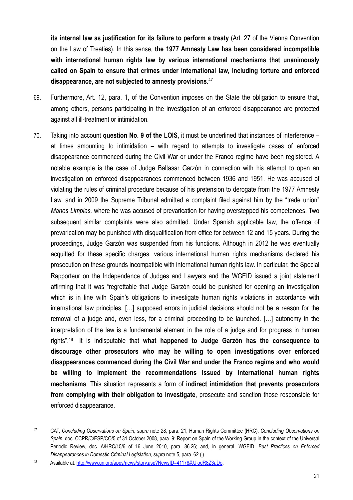**its internal law as justification for its failure to perform a treaty** (Art. 27 of the Vienna Convention on the Law of Treaties). In this sense, **the 1977 Amnesty Law has been considered incompatible with international human rights law by various international mechanisms that unanimously called on Spain to ensure that crimes under international law, including torture and enforced disappearance, are not subjected to amnesty provisions.**[47](#page-20-0) 

- 69. Furthermore, Art. 12, para. 1, of the Convention imposes on the State the obligation to ensure that, among others, persons participating in the investigation of an enforced disappearance are protected against all ill-treatment or intimidation.
- 70. Taking into account **question No. 9 of the LOIS**, it must be underlined that instances of interference at times amounting to intimidation – with regard to attempts to investigate cases of enforced disappearance commenced during the Civil War or under the Franco regime have been registered. A notable example is the case of Judge Baltasar Garzón in connection with his attempt to open an investigation on enforced disappearances commenced between 1936 and 1951. He was accused of violating the rules of criminal procedure because of his pretension to derogate from the 1977 Amnesty Law, and in 2009 the Supreme Tribunal admitted a complaint filed against him by the "trade union" *Manos Limpias,* where he was accused of prevarication for having overstepped his competences. Two subsequent similar complaints were also admitted. Under Spanish applicable law, the offence of prevarication may be punished with disqualification from office for between 12 and 15 years. During the proceedings, Judge Garzón was suspended from his functions. Although in 2012 he was eventually acquitted for these specific charges, various international human rights mechanisms declared his prosecution on these grounds incompatible with international human rights law. In particular, the Special Rapporteur on the Independence of Judges and Lawyers and the WGEID issued a joint statement affirming that it was "regrettable that Judge Garzón could be punished for opening an investigation which is in line with Spain's obligations to investigate human rights violations in accordance with international law principles. […] supposed errors in judicial decisions should not be a reason for the removal of a judge and, even less, for a criminal proceeding to be launched. […] autonomy in the interpretation of the law is a fundamental element in the role of a judge and for progress in human rights".[48](#page-20-1) It is indisputable that **what happened to Judge Garzón has the consequence to discourage other prosecutors who may be willing to open investigations over enforced disappearances commenced during the Civil War and under the Franco regime and who would be willing to implement the recommendations issued by international human rights mechanisms**. This situation represents a form of **indirect intimidation that prevents prosecutors from complying with their obligation to investigate**, prosecute and sanction those responsible for enforced disappearance.

<span id="page-20-0"></span><sup>47</sup> CAT, *Concluding Observations on Spain*, *supra* note 28, para. 21; Human Rights Committee (HRC), *Concluding Observations on Spain*, doc. CCPR/C/ESP/CO/5 of 31 October 2008, para. 9; Report on Spain of the Working Group in the context of the Universal Periodic Review, doc. A/HRC/15/6 of 16 June 2010, para. 86.26; and, in general, WGEID, *Best Practices on Enforced Disappearances in Domestic Criminal Legislation, supra* note 5, para. 62 (i).

<span id="page-20-1"></span><sup>48</sup> Available at: [http://www.un.org/apps/news/story.asp?NewsID=41178#.UiodR8Z3aDo.](http://www.un.org/apps/news/story.asp?NewsID=41178#.UiodR8Z3aDo)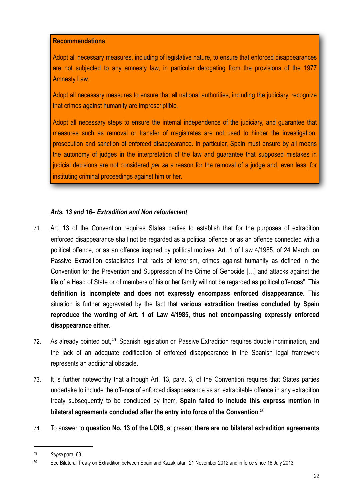#### **Recommendations**

Adopt all necessary measures, including of legislative nature, to ensure that enforced disappearances are not subjected to any amnesty law, in particular derogating from the provisions of the 1977 Amnesty Law.

Adopt all necessary measures to ensure that all national authorities, including the judiciary, recognize that crimes against humanity are imprescriptible.

Adopt all necessary steps to ensure the internal independence of the judiciary, and guarantee that measures such as removal or transfer of magistrates are not used to hinder the investigation, prosecution and sanction of enforced disappearance. In particular, Spain must ensure by all means the autonomy of judges in the interpretation of the law and guarantee that supposed mistakes in judicial decisions are not considered *per se* a reason for the removal of a judge and, even less, for instituting criminal proceedings against him or her.

# <span id="page-21-0"></span>*Arts. 13 and 16– Extradition and Non refoulement*

- 71. Art. 13 of the Convention requires States parties to establish that for the purposes of extradition enforced disappearance shall not be regarded as a political offence or as an offence connected with a political offence, or as an offence inspired by political motives. Art. 1 of Law 4/1985, of 24 March, on Passive Extradition establishes that "acts of terrorism, crimes against humanity as defined in the Convention for the Prevention and Suppression of the Crime of Genocide […] and attacks against the life of a Head of State or of members of his or her family will not be regarded as political offences". This **definition is incomplete and does not expressly encompass enforced disappearance.** This situation is further aggravated by the fact that **various extradition treaties concluded by Spain reproduce the wording of Art. 1 of Law 4/1985, thus not encompassing expressly enforced disappearance either.**
- 72. As already pointed out,<sup>[49](#page-21-1)</sup> Spanish legislation on Passive Extradition requires double incrimination, and the lack of an adequate codification of enforced disappearance in the Spanish legal framework represents an additional obstacle.
- 73. It is further noteworthy that although Art. 13, para. 3, of the Convention requires that States parties undertake to include the offence of enforced disappearance as an extraditable offence in any extradition treaty subsequently to be concluded by them, **Spain failed to include this express mention in bilateral agreements concluded after the entry into force of the Convention**. [50](#page-21-2)
- 74. To answer to **question No. 13 of the LOIS**, at present **there are no bilateral extradition agreements**

<span id="page-21-1"></span><sup>49</sup> *Supra* para. 63.

<span id="page-21-2"></span><sup>50</sup> See Bilateral Treaty on Extradition between Spain and Kazakhstan, 21 November 2012 and in force since 16 July 2013.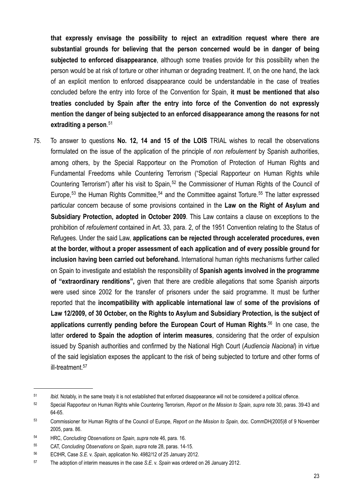**that expressly envisage the possibility to reject an extradition request where there are substantial grounds for believing that the person concerned would be in danger of being subjected to enforced disappearance**, although some treaties provide for this possibility when the person would be at risk of torture or other inhuman or degrading treatment. If, on the one hand, the lack of an explicit mention to enforced disappearance could be understandable in the case of treaties concluded before the entry into force of the Convention for Spain, **it must be mentioned that also treaties concluded by Spain after the entry into force of the Convention do not expressly mention the danger of being subjected to an enforced disappearance among the reasons for not extraditing a person**. [51](#page-22-0)

75. To answer to questions **No. 12, 14 and 15 of the LOIS** TRIAL wishes to recall the observations formulated on the issue of the application of the principle of *non refoulement* by Spanish authorities, among others, by the Special Rapporteur on the Promotion of Protection of Human Rights and Fundamental Freedoms while Countering Terrorism ("Special Rapporteur on Human Rights while Countering Terrorism") after his visit to Spain,<sup>52</sup> the Commissioner of Human Rights of the Council of Europe,<sup>53</sup> the Human Rights Committee,<sup>54</sup> and the Committee against Torture.<sup>55</sup> The latter expressed particular concern because of some provisions contained in the **Law on the Right of Asylum and Subsidiary Protection, adopted in October 2009**. This Law contains a clause on exceptions to the prohibition of *refoulement* contained in Art. 33, para. 2, of the 1951 Convention relating to the Status of Refugees. Under the said Law, **applications can be rejected through accelerated procedures, even at the border, without a proper assessment of each application and of every possible ground for inclusion having been carried out beforehand.** International human rights mechanisms further called on Spain to investigate and establish the responsibility of **Spanish agents involved in the programme of "extraordinary renditions",** given that there are credible allegations that some Spanish airports were used since 2002 for the transfer of prisoners under the said programme. It must be further reported that the **incompatibility with applicable international law** of **some of the provisions of Law 12/2009, of 30 October, on the Rights to Asylum and Subsidiary Protection, is the subject of applications currently pending before the European Court of Human Rights**. [56](#page-22-5) In one case, the latter **ordered to Spain the adoption of interim measures**, considering that the order of expulsion issued by Spanish authorities and confirmed by the National High Court (*Audiencia Nacional*) in virtue of the said legislation exposes the applicant to the risk of being subjected to torture and other forms of ill-treatment.<sup>[57](#page-22-6)</sup>

<span id="page-22-0"></span><sup>51</sup> *Ibid*. Notably, in the same treaty it is not established that enforced disappearance will not be considered a political offence.

<span id="page-22-1"></span><sup>52</sup> Special Rapporteur on Human Rights while Countering Terrorism, *Report on the Mission to Spain*, *supra* note 30, paras. 39-43 and 64-65.

<span id="page-22-2"></span><sup>53</sup> Commissioner for Human Rights of the Council of Europe, *Report on the Mission to Spain,* doc. CommDH(2005)8 of 9 November 2005, para. 86.

<span id="page-22-3"></span><sup>54</sup> HRC, *Concluding Observations on Spain*, *supra* note 46, para. 16.

<span id="page-22-4"></span><sup>55</sup> CAT, *Concluding Observations on Spain*, *supra* note 28, paras. 14-15.

<span id="page-22-5"></span><sup>56</sup> ECtHR, Case *S.E.* v. *Spain*, application No. 4982/12 of 25 January 2012.

<span id="page-22-6"></span><sup>57</sup> The adoption of interim measures in the case *S.E.* v. *Spain* was ordered on 26 January 2012.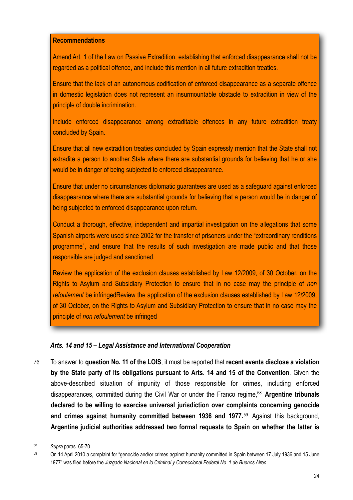#### **Recommendations**

Amend Art. 1 of the Law on Passive Extradition, establishing that enforced disappearance shall not be regarded as a political offence, and include this mention in all future extradition treaties.

Ensure that the lack of an autonomous codification of enforced disappearance as a separate offence in domestic legislation does not represent an insurmountable obstacle to extradition in view of the principle of double incrimination.

Include enforced disappearance among extraditable offences in any future extradition treaty concluded by Spain.

Ensure that all new extradition treaties concluded by Spain expressly mention that the State shall not extradite a person to another State where there are substantial grounds for believing that he or she would be in danger of being subjected to enforced disappearance.

Ensure that under no circumstances diplomatic guarantees are used as a safeguard against enforced disappearance where there are substantial grounds for believing that a person would be in danger of being subjected to enforced disappearance upon return.

Conduct a thorough, effective, independent and impartial investigation on the allegations that some Spanish airports were used since 2002 for the transfer of prisoners under the "extraordinary renditions programme", and ensure that the results of such investigation are made public and that those responsible are judged and sanctioned.

Review the application of the exclusion clauses established by Law 12/2009, of 30 October, on the Rights to Asylum and Subsidiary Protection to ensure that in no case may the principle of *non refoulement* be infringedReview the application of the exclusion clauses established by Law 12/2009, of 30 October, on the Rights to Asylum and Subsidiary Protection to ensure that in no case may the principle of *non refoulement* be infringed

## <span id="page-23-0"></span>*Arts. 14 and 15 – Legal Assistance and International Cooperation*

76. To answer to **question No. 11 of the LOIS**, it must be reported that **recent events disclose a violation by the State party of its obligations pursuant to Arts. 14 and 15 of the Convention**. Given the above-described situation of impunity of those responsible for crimes, including enforced disappearances, committed during the Civil War or under the Franco regime,[58](#page-23-1) **Argentine tribunals declared to be willing to exercise universal jurisdiction over complaints concerning genocide and crimes against humanity committed between 1936 and 1977.**[59](#page-23-2) Against this background, **Argentine judicial authorities addressed two formal requests to Spain on whether the latter is** 

<span id="page-23-1"></span><sup>58</sup> *Supra* paras. 65-70.

<span id="page-23-2"></span><sup>59</sup> On 14 April 2010 a complaint for "genocide and/or crimes against humanity committed in Spain between 17 July 1936 and 15 June 1977" was filed before the *Juzgado Nacional en lo Criminal y Correccional Federal No. 1 de Buenos Aires*.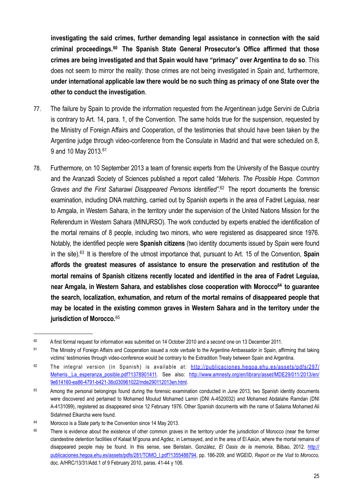**investigating the said crimes, further demanding legal assistance in connection with the said criminal proceedings.[60](#page-24-0) The Spanish State General Prosecutor's Office affirmed that those crimes are being investigated and that Spain would have "primacy" over Argentina to do so**. This does not seem to mirror the reality: those crimes are not being investigated in Spain and, furthermore, **under international applicable law there would be no such thing as primacy of one State over the other to conduct the investigation**.

- 77. The failure by Spain to provide the information requested from the Argentinean judge Servini de Cubría is contrary to Art. 14, para. 1, of the Convention. The same holds true for the suspension, requested by the Ministry of Foreign Affairs and Cooperation, of the testimonies that should have been taken by the Argentine judge through video-conference from the Consulate in Madrid and that were scheduled on 8, 9 and 10 May 2013.[61](#page-24-1)
- 78. Furthermore, on 10 September 2013 a team of forensic experts from the University of the Basque country and the Aranzadi Society of Sciences published a report called "*Meheris. The Possible Hope. Common Graves and the First Saharawi Disappeared Persons Identified"*. [62](#page-24-2) The report documents the forensic examination, including DNA matching, carried out by Spanish experts in the area of Fadret Leguiaa, near to Amgala, in Western Sahara, in the territory under the supervision of the United Nations Mission for the Referendum in Western Sahara (MINURSO). The work conducted by experts enabled the identification of the mortal remains of 8 people, including two minors, who were registered as disappeared since 1976. Notably, the identified people were **Spanish citizens** (two identity documents issued by Spain were found in the site).[63](#page-24-3) It is therefore of the utmost importance that, pursuant to Art. 15 of the Convention, **Spain affords the greatest measures of assistance to ensure the preservation and restitution of the mortal remains of Spanish citizens recently located and identified in the area of Fadret Leguiaa, near Amgala, in Western Sahara, and establishes close cooperation with Morocco[64](#page-24-4) to guarantee the search, localization, exhumation, and return of the mortal remains of disappeared people that may be located in the existing common graves in Western Sahara and in the territory under the jurisdiction of Morocco.**[65](#page-24-5)

<span id="page-24-0"></span><sup>&</sup>lt;sup>60</sup> A first formal request for information was submitted on 14 October 2010 and a second one on 13 December 2011.

<span id="page-24-1"></span><sup>61</sup> The Ministry of Foreign Affairs and Cooperation issued a *note verbale* to the Argentine Ambassador in Spain, affirming that taking victims' testimonies through video-conference would be contrary to the Extradition Treaty between Spain and Argentina.

<span id="page-24-2"></span> $62$  The integral version (in Spanish) is available at: [http://publicaciones.hegoa.ehu.es/assets/pdfs/297/](http://publicaciones.hegoa.ehu.es/assets/pdfs/297/Meheris._La_esperanza_posible.pdf?1378901411) Meheris. La esperanza posible.pdf?1378901411. See also: [http://www.amnesty.org/en/library/asset/MDE29/011/2013/en/](http://www.amnesty.org/en/library/asset/MDE29/011/2013/en/9e614160-ea86-4791-b421-36c030961022/mde290112013en.html) [9e614160-ea86-4791-b421-36c030961022/mde290112013en.html.](http://www.amnesty.org/en/library/asset/MDE29/011/2013/en/9e614160-ea86-4791-b421-36c030961022/mde290112013en.html)

<span id="page-24-3"></span><sup>&</sup>lt;sup>63</sup> Among the personal belongings found during the forensic examination conducted in June 2013, two Spanish identity documents were discovered and pertained to Mohamed Moulud Mohamed Lamin (DNI A-4520032) and Mohamed Abdalahe Ramdan (DNI A-4131099), registered as disappeared since 12 February 1976. Other Spanish documents with the name of Salama Mohamed Ali Sidahmed Elkarcha were found.

<span id="page-24-4"></span><sup>&</sup>lt;sup>64</sup> Morocco is a State party to the Convention since 14 May 2013.

<span id="page-24-5"></span><sup>&</sup>lt;sup>65</sup> There is evidence about the existence of other common graves in the territory under the jurisdiction of Morocco (near the former clandestine detention facilities of Kalaat M'gouna and Agdez, in Lemsayed, and in the area of El Aaiún, where the mortal remains of disappeared people may be found. In this sense, see Beristain, González, *El Oasis de la memoria*, Bilbao, 2012. [http://](http://publicaciones.hegoa.ehu.es/assets/pdfs/281/TOMO_I.pdf?1355488794) [publicaciones.hegoa.ehu.es/assets/pdfs/281/TOMO\\_I.pdf?1355488794,](http://publicaciones.hegoa.ehu.es/assets/pdfs/281/TOMO_I.pdf?1355488794) pp. 186-209; and WGEID, *Report on the Visit to Morocco,*  doc. A/HRC/13/31/Add.1 of 9 February 2010, paras. 41-44 y 106.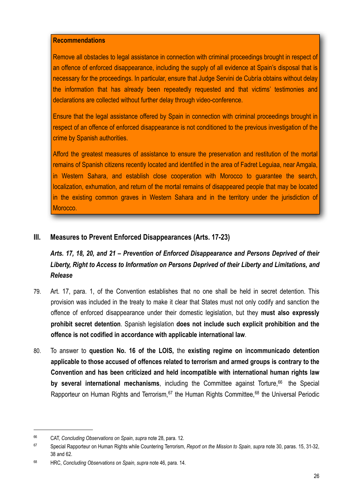#### **Recommendations**

Remove all obstacles to legal assistance in connection with criminal proceedings brought in respect of an offence of enforced disappearance, including the supply of all evidence at Spain's disposal that is necessary for the proceedings. In particular, ensure that Judge Servini de Cubría obtains without delay the information that has already been repeatedly requested and that victims' testimonies and declarations are collected without further delay through video-conference.

Ensure that the legal assistance offered by Spain in connection with criminal proceedings brought in respect of an offence of enforced disappearance is not conditioned to the previous investigation of the crime by Spanish authorities.

Afford the greatest measures of assistance to ensure the preservation and restitution of the mortal remains of Spanish citizens recently located and identified in the area of Fadret Leguiaa, near Amgala, in Western Sahara, and establish close cooperation with Morocco to guarantee the search, localization, exhumation, and return of the mortal remains of disappeared people that may be located in the existing common graves in Western Sahara and in the territory under the jurisdiction of Morocco.

# <span id="page-25-0"></span>**III. Measures to Prevent Enforced Disappearances (Arts. 17-23)**

<span id="page-25-1"></span>*Arts. 17, 18, 20, and 21 – Prevention of Enforced Disappearance and Persons Deprived of their Liberty, Right to Access to Information on Persons Deprived of their Liberty and Limitations, and Release*

- 79. Art. 17, para. 1, of the Convention establishes that no one shall be held in secret detention. This provision was included in the treaty to make it clear that States must not only codify and sanction the offence of enforced disappearance under their domestic legislation, but they **must also expressly prohibit secret detention**. Spanish legislation **does not include such explicit prohibition and the offence is not codified in accordance with applicable international law**.
- 80. To answer to **question No. 16 of the LOIS,** the **existing regime on incommunicado detention applicable to those accused of offences related to terrorism and armed groups is contrary to the Convention and has been criticized and held incompatible with international human rights law by several international mechanisms**, including the Committee against Torture,<sup>66</sup> the Special Rapporteur on Human Rights and Terrorism, <sup>67</sup> the Human Rights Committee, <sup>68</sup> the Universal Periodic

<span id="page-25-2"></span><sup>66</sup> CAT, *Concluding Observations on Spain*, *supra* note 28, para. 12.

<span id="page-25-3"></span><sup>67</sup> Special Rapporteur on Human Rights while Countering Terrorism, *Report on the Mission to Spain*, *supra* note 30, paras. 15, 31-32, 38 and 62.

<span id="page-25-4"></span><sup>68</sup> HRC, *Concluding Observations on Spain*, *supra* note 46, para. 14.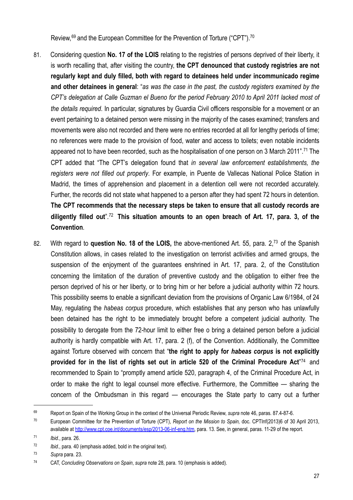Review, <sup>[69](#page-26-0)</sup> and the European Committee for the Prevention of Torture ("CPT").<sup>[70](#page-26-1)</sup>

- 81. Considering question **No. 17 of the LOIS** relating to the registries of persons deprived of their liberty, it is worth recalling that, after visiting the country, **the CPT denounced that custody registries are not regularly kept and duly filled, both with regard to detainees held under incommunicado regime and other detainees in general**: "*as was the case in the past, the custody registers examined by the CPT's delegation at Calle Guzman el Bueno for the period February 2010 to April 2011 lacked most of the details required*. In particular, signatures by Guardia Civil officers responsible for a movement or an event pertaining to a detained person were missing in the majority of the cases examined; transfers and movements were also not recorded and there were no entries recorded at all for lengthy periods of time; no references were made to the provision of food, water and access to toilets; even notable incidents appeared not to have been recorded, such as the hospitalisation of one person on 3 March 2011".<sup>71</sup> The CPT added that "The CPT's delegation found that *in several law enforcement establishments, the registers were not filled out properly*. For example, in Puente de Vallecas National Police Station in Madrid, the times of apprehension and placement in a detention cell were not recorded accurately. Further, the records did not state what happened to a person after they had spent 72 hours in detention. **The CPT recommends that the necessary steps be taken to ensure that all custody records are diligently filled out**".[72](#page-26-3) **This situation amounts to an open breach of Art. 17, para. 3, of the Convention**.
- 82. With regard to **question No. 18 of the LOIS,** the above-mentioned Art. 55, para. 2,[73](#page-26-4) of the Spanish Constitution allows, in cases related to the investigation on terrorist activities and armed groups, the suspension of the enjoyment of the guarantees enshrined in Art. 17, para. 2, of the Constitution concerning the limitation of the duration of preventive custody and the obligation to either free the person deprived of his or her liberty, or to bring him or her before a judicial authority within 72 hours. This possibility seems to enable a significant deviation from the provisions of Organic Law 6/1984, of 24 May, regulating the *habeas corpus* procedure, which establishes that any person who has unlawfully been detained has the right to be immediately brought before a competent judicial authority. The possibility to derogate from the 72-hour limit to either free o bring a detained person before a judicial authority is hardly compatible with Art. 17, para. 2 (f), of the Convention. Additionally, the Committee against Torture observed with concern that "**the right to apply for** *habeas corpus* **is not explicitly provided for in the list of rights set out in article 520 of the Criminal Procedure Act**" [74](#page-26-5) and recommended to Spain to "promptly amend article 520, paragraph 4, of the Criminal Procedure Act, in order to make the right to legal counsel more effective. Furthermore, the Committee — sharing the concern of the Ombudsman in this regard — encourages the State party to carry out a further

<span id="page-26-0"></span><sup>69</sup> Report on Spain of the Working Group in the context of the Universal Periodic Review, *supra* note 46, paras. 87.4-87-6.

<span id="page-26-1"></span><sup>70</sup> European Committee for the Prevention of Torture (CPT), *Report on the Mission to Spain,* doc. CPTInf(2013)6 of 30 April 2013, available at [http://www.cpt.coe.int/documents/esp/2013-06-inf-eng.htm,](http://www.cpt.coe.int/documents/esp/2013-06-inf-eng.htm) para. 13. See, in general, paras. 11-29 of the report.

<span id="page-26-2"></span><sup>71</sup> *Ibid.*, para. 26.

<span id="page-26-3"></span><sup>72</sup> *Ibid*., para. 40 (emphasis added, bold in the original text).

<span id="page-26-4"></span><sup>73</sup> *Supra* para. 23.

<span id="page-26-5"></span><sup>74</sup> CAT, *Concluding Observations on Spain*, *supra* note 28, para. 10 (emphasis is added).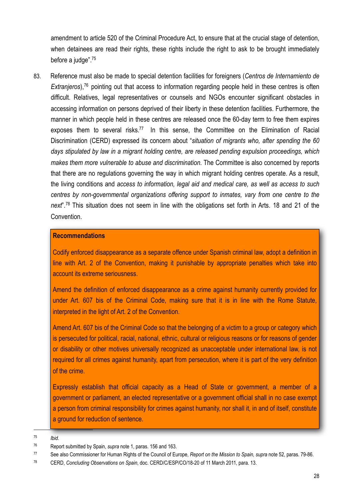amendment to article 520 of the Criminal Procedure Act, to ensure that at the crucial stage of detention, when detainees are read their rights, these rights include the right to ask to be brought immediately before a judge".[75](#page-27-0)

83. Reference must also be made to special detention facilities for foreigners (*Centros de Internamiento de Extranjeros*),<sup>76</sup> pointing out that access to information regarding people held in these centres is often difficult. Relatives, legal representatives or counsels and NGOs encounter significant obstacles in accessing information on persons deprived of their liberty in these detention facilities. Furthermore, the manner in which people held in these centres are released once the 60-day term to free them expires exposes them to several risks.<sup>77</sup> In this sense, the Committee on the Elimination of Racial Discrimination (CERD) expressed its concern about "*situation of migrants who, after spending the 60 days stipulated by law in a migrant holding centre, are released pending expulsion proceedings, which makes them more vulnerable to abuse and discrimination*. The Committee is also concerned by reports that there are no regulations governing the way in which migrant holding centres operate. As a result, the living conditions and *access to information, legal aid and medical care, as well as access to such centres by non-governmental organizations offering support to inmates, vary from one centre to the next*".[78](#page-27-3) This situation does not seem in line with the obligations set forth in Arts. 18 and 21 of the Convention.

#### **Recommendations**

Codify enforced disappearance as a separate offence under Spanish criminal law, adopt a definition in line with Art. 2 of the Convention, making it punishable by appropriate penalties which take into account its extreme seriousness.

Amend the definition of enforced disappearance as a crime against humanity currently provided for under Art. 607 bis of the Criminal Code, making sure that it is in line with the Rome Statute, interpreted in the light of Art. 2 of the Convention.

Amend Art. 607 bis of the Criminal Code so that the belonging of a victim to a group or category which is persecuted for political, racial, national, ethnic, cultural or religious reasons or for reasons of gender or disability or other motives universally recognized as unacceptable under international law, is not required for all crimes against humanity, apart from persecution, where it is part of the very definition of the crime.

Expressly establish that official capacity as a Head of State or government, a member of a government or parliament, an elected representative or a government official shall in no case exempt a person from criminal responsibility for crimes against humanity, nor shall it, in and of itself, constitute a ground for reduction of sentence.

<span id="page-27-0"></span>75 *Ibid*.

<span id="page-27-1"></span><sup>76</sup> Report submitted by Spain, *supra* note 1, paras. 156 and 163.

<span id="page-27-2"></span><sup>77</sup> See also Commissioner for Human Rights of the Council of Europe, *Report on the Mission to Spain, supra* note 52, paras. 79-86.

<span id="page-27-3"></span><sup>78</sup> CERD, *Concluding Observations on Spain*, doc. CERD/C/ESP/CO/18-20 of 11 March 2011, para. 13.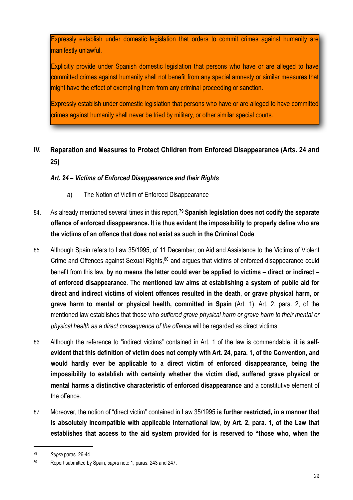Expressly establish under domestic legislation that orders to commit crimes against humanity are manifestly unlawful.

Explicitly provide under Spanish domestic legislation that persons who have or are alleged to have committed crimes against humanity shall not benefit from any special amnesty or similar measures that might have the effect of exempting them from any criminal proceeding or sanction.

Expressly establish under domestic legislation that persons who have or are alleged to have committed crimes against humanity shall never be tried by military, or other similar special courts.

# <span id="page-28-0"></span>**IV. Reparation and Measures to Protect Children from Enforced Disappearance (Arts. 24 and 25)**

# <span id="page-28-1"></span>*Art. 24 – Victims of Enforced Disappearance and their Rights*

- <span id="page-28-2"></span>a) The Notion of Victim of Enforced Disappearance
- 84. As already mentioned several times in this report,[79](#page-28-3) **Spanish legislation does not codify the separate offence of enforced disappearance. It is thus evident the impossibility to properly define who are the victims of an offence that does not exist as such in the Criminal Code**.
- 85. Although Spain refers to Law 35/1995, of 11 December, on Aid and Assistance to the Victims of Violent Crime and Offences against Sexual Rights,<sup>80</sup> and argues that victims of enforced disappearance could benefit from this law, **by no means the latter could ever be applied to victims – direct or indirect – of enforced disappearance**. The **mentioned law aims at establishing a system of public aid for direct and indirect victims of violent offences resulted in the death, or grave physical harm, or grave harm to mental or physical health, committed in Spain** (Art. 1). Art. 2, para. 2, of the mentioned law establishes that those who *suffered grave physical harm or grave harm to their mental or physical health as a direct consequence of the offence* will be regarded as direct victims.
- 86. Although the reference to "indirect victims" contained in Art. 1 of the law is commendable, **it is selfevident that this definition of victim does not comply with Art. 24, para. 1, of the Convention, and would hardly ever be applicable to a direct victim of enforced disappearance, being the impossibility to establish with certainty whether the victim died, suffered grave physical or mental harms a distinctive characteristic of enforced disappearance** and a constitutive element of the offence.
- 87. Moreover, the notion of "direct victim" contained in Law 35/1995 **is further restricted, in a manner that is absolutely incompatible with applicable international law, by Art. 2, para. 1, of the Law that establishes that access to the aid system provided for is reserved to "those who, when the**

<span id="page-28-3"></span><sup>79</sup> *Supra* paras. 26-44.

<span id="page-28-4"></span><sup>80</sup> Report submitted by Spain, *supra* note 1, paras. 243 and 247.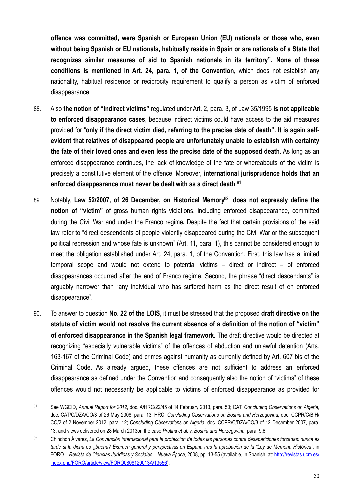**offence was committed, were Spanish or European Union (EU) nationals or those who, even without being Spanish or EU nationals, habitually reside in Spain or are nationals of a State that recognizes similar measures of aid to Spanish nationals in its territory". None of these conditions is mentioned in Art. 24, para. 1, of the Convention,** which does not establish any nationality, habitual residence or reciprocity requirement to qualify a person as victim of enforced disappearance.

- 88. Also **the notion of "indirect victims"** regulated under Art. 2, para. 3, of Law 35/1995 **is not applicable to enforced disappearance cases**, because indirect victims could have access to the aid measures provided for "**only if the direct victim died, referring to the precise date of death". It is again selfevident that relatives of disappeared people are unfortunately unable to establish with certainty the fate of their loved ones and even less the precise date of the supposed death**. As long as an enforced disappearance continues, the lack of knowledge of the fate or whereabouts of the victim is precisely a constitutive element of the offence. Moreover, **international jurisprudence holds that an enforced disappearance must never be dealt with as a direct death**. [81](#page-29-0)
- 89. Notably, **Law 52/2007, of 26 December, on Historical Memory**[82](#page-29-1) **does not expressly define the notion of "victim"** of gross human rights violations, including enforced disappearance, committed during the Civil War and under the Franco regime**.** Despite the fact that certain provisions of the said law refer to "direct descendants of people violently disappeared during the Civil War or the subsequent political repression and whose fate is unknown" (Art. 11, para. 1), this cannot be considered enough to meet the obligation established under Art. 24, para. 1, of the Convention. First, this law has a limited temporal scope and would not extend to potential victims – direct or indirect – of enforced disappearances occurred after the end of Franco regime. Second, the phrase "direct descendants" is arguably narrower than "any individual who has suffered harm as the direct result of en enforced disappearance".
- 90. To answer to question **No. 22 of the LOIS**, it must be stressed that the proposed **draft directive on the statute of victim would not resolve the current absence of a definition of the notion of "victim" of enforced disappearance in the Spanish legal framework.** The draft directive would be directed at recognizing "especially vulnerable victims" of the offences of abduction and unlawful detention (Arts. 163-167 of the Criminal Code) and crimes against humanity as currently defined by Art. 607 bis of the Criminal Code. As already argued, these offences are not sufficient to address an enforced disappearance as defined under the Convention and consequently also the notion of "victims" of these offences would not necessarily be applicable to victims of enforced disappearance as provided for

<span id="page-29-0"></span><sup>81</sup> See WGEID, *Annual Report for 2012*, doc. A/HRC/22/45 of 14 February 2013, para. 50; CAT, *Concluding Observations on Algeria*, doc. CAT/C/DZA/CO/3 of 26 May 2008, para. 13; HRC, *Concluding Observations on Bosnia and Herzegovina,* doc. CCPR/C/BIH/ CO/2 of 2 November 2012, para. 12; *Concluding Observations on Algeria*, doc. CCPR/C/DZA/CO/3 of 12 December 2007, para. 13; and views delivered on 28 March 2013on the case *Prutina et al.* v. *Bosnia and Herzegovina,* para. 9.6.

<span id="page-29-1"></span><sup>82</sup> Chinchón Álvarez, *La Convención internacional para la protección de todas las personas contra desapariciones forzadas: nunca es tarde si la dicha es ¿buena? Examen general y perspectivas en España tras la aprobación de la "Ley de Memoria Histórica"*, in FORO – *Revista de Ciencias Jurídicas y Sociales – Nueva Época,* 2008, pp. 13-55 (available, in Spanish, at: [http://revistas.ucm.es/](http://revistas.ucm.es/index.php/FORO/article/view/FORO0808120013A/13556) [index.php/FORO/article/view/FORO0808120013A/13556](http://revistas.ucm.es/index.php/FORO/article/view/FORO0808120013A/13556)).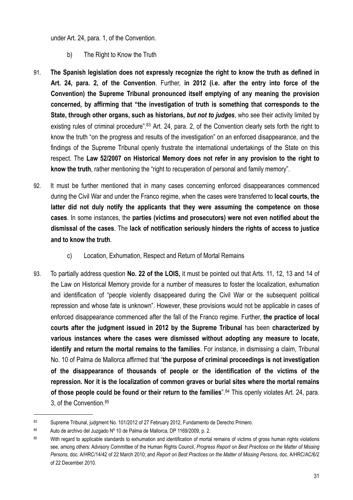under Art. 24, para. 1, of the Convention.

- <span id="page-30-0"></span>b) The Right to Know the Truth
- 91. **The Spanish legislation does not expressly recognize the right to know the truth as defined in Art. 24, para. 2, of the Convention**. Further, **in 2012 (i.e. after the entry into force of the Convention) the Supreme Tribunal pronounced itself emptying of any meaning the provision concerned, by affirming that "the investigation of truth is something that corresponds to the State, through other organs, such as historians,** *but not to judges*, who see their activity limited by existing rules of criminal procedure".<sup>83</sup> Art. 24, para. 2, of the Convention clearly sets forth the right to know the truth "on the progress and results of the investigation" on an enforced disappearance, and the findings of the Supreme Tribunal openly frustrate the international undertakings of the State on this respect. The **Law 52/2007 on Historical Memory does not refer in any provision to the right to know the truth**, rather mentioning the "right to recuperation of personal and family memory".
- 92. It must be further mentioned that in many cases concerning enforced disappearances commenced during the Civil War and under the Franco regime, when the cases were transferred to **local courts, the latter did not duly notify the applicants that they were assuming the competence on those cases**. In some instances, the **parties (victims and prosecutors) were not even notified about the dismissal of the cases**. The **lack of notification seriously hinders the rights of access to justice and to know the truth**.
	- c) Location, Exhumation, Respect and Return of Mortal Remains
- <span id="page-30-1"></span>93. To partially address question **No. 22 of the LOIS,** it must be pointed out that Arts. 11, 12, 13 and 14 of the Law on Historical Memory provide for a number of measures to foster the localization, exhumation and identification of "people violently disappeared during the Civil War or the subsequent political repression and whose fate is unknown". However, these provisions would not be applicable in cases of enforced disappearance commenced after the fall of the Franco regime. Further, **the practice of local courts after the judgment issued in 2012 by the Supreme Tribunal** has been **characterized by various instances where the cases were dismissed without adopting any measure to locate, identify and return the mortal remains to the families**. For instance, in dismissing a claim, Tribunal No. 10 of Palma de Mallorca affirmed that "**the purpose of criminal proceedings is not investigation of the disappearance of thousands of people or the identification of the victims of the repression. Nor it is the localization of common graves or burial sites where the mortal remains of those people could be found or their return to the families**".[84](#page-30-3) This openly violates Art. 24, para. 3, of the Convention.[85](#page-30-4)

<span id="page-30-2"></span><sup>83</sup> Supreme Tribunal, judgment No. 101/2012 of 27 February 2012, Fundamento de Derecho Primero.

<span id="page-30-3"></span><sup>84</sup> Auto de archivo del Juzgado Nº 10 de Palma de Mallorca, DP 1169/2009, p. 2.

<span id="page-30-4"></span><sup>85</sup> With regard to applicable standards to exhumation and identification of mortal remains of victims of gross human rights violations see, among others: Advisory Committee of the Human Rights Council, *Progress Report on Best Practices on the Matter of Missing Persons*, doc. A/HRC/14/42 of 22 March 2010; and *Report on Best Practices on the Matter of Missing Persons,* doc. A/HRC/AC/6/2 of 22 December 2010.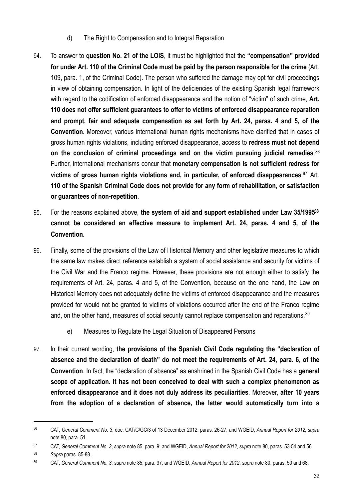- <span id="page-31-0"></span>d) The Right to Compensation and to Integral Reparation
- 94. To answer to **question No. 21 of the LOIS**, it must be highlighted that the **"compensation" provided for under Art. 110 of the Criminal Code must be paid by the person responsible for the crime** (Art. 109, para. 1, of the Criminal Code). The person who suffered the damage may opt for civil proceedings in view of obtaining compensation. In light of the deficiencies of the existing Spanish legal framework with regard to the codification of enforced disappearance and the notion of "victim" of such crime, **Art. 110 does not offer sufficient guarantees to offer to victims of enforced disappearance reparation and prompt, fair and adequate compensation as set forth by Art. 24, paras. 4 and 5, of the Convention**. Moreover, various international human rights mechanisms have clarified that in cases of gross human rights violations, including enforced disappearance, access to **redress must not depend on the conclusion of criminal proceedings and on the victim pursuing judicial remedies**. [86](#page-31-2) Further, international mechanisms concur that **monetary compensation is not sufficient redress for victims of gross human rights violations and, in particular, of enforced disappearances**. [87](#page-31-3) Art. **110 of the Spanish Criminal Code does not provide for any form of rehabilitation, or satisfaction or guarantees of non-repetition**.
- 95. For the reasons explained above, **the system of aid and support established under Law 35/1995**[88](#page-31-4) **cannot be considered an effective measure to implement Art. 24, paras. 4 and 5, of the Convention**.
- 96. Finally, some of the provisions of the Law of Historical Memory and other legislative measures to which the same law makes direct reference establish a system of social assistance and security for victims of the Civil War and the Franco regime. However, these provisions are not enough either to satisfy the requirements of Art. 24, paras. 4 and 5, of the Convention, because on the one hand, the Law on Historical Memory does not adequately define the victims of enforced disappearance and the measures provided for would not be granted to victims of violations occurred after the end of the Franco regime and, on the other hand, measures of social security cannot replace compensation and reparations.<sup>[89](#page-31-5)</sup>
	- e) Measures to Regulate the Legal Situation of Disappeared Persons
- <span id="page-31-1"></span>97. In their current wording, **the provisions of the Spanish Civil Code regulating the "declaration of absence and the declaration of death" do not meet the requirements of Art. 24, para. 6, of the Convention**. In fact, the "declaration of absence" as enshrined in the Spanish Civil Code has a **general scope of application. It has not been conceived to deal with such a complex phenomenon as enforced disappearance and it does not duly address its peculiarities**. Moreover, **after 10 years from the adoption of a declaration of absence, the latter would automatically turn into a**

<span id="page-31-2"></span><sup>86</sup> CAT, *General Comment No. 3*, doc. CAT/C/GC/3 of 13 December 2012, paras. 26-27; and WGEID, *Annual Report for 2012*, *supra* note 80, para. 51.

<span id="page-31-3"></span><sup>87</sup> CAT, *General Comment No. 3*, *supra* note 85, para. 9; and WGEID, *Annual Report for 2012*, *supra* note 80, paras. 53-54 and 56.

<span id="page-31-4"></span><sup>88</sup> *Supra* paras. 85-88.

<span id="page-31-5"></span><sup>89</sup> CAT, *General Comment No. 3*, *supra* note 85, para. 37; and WGEID, *Annual Report for 2012*, *supra* note 80, paras. 50 and 68.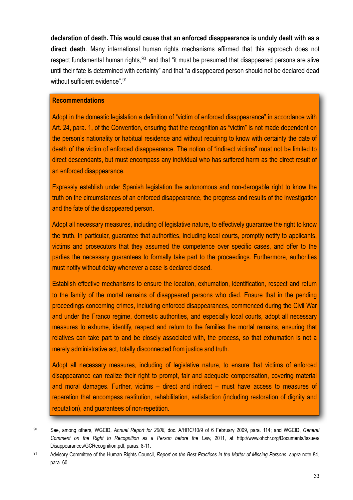**declaration of death. This would cause that an enforced disappearance is unduly dealt with as a direct death**. Many international human rights mechanisms affirmed that this approach does not respect fundamental human rights,<sup>90</sup> and that "it must be presumed that disappeared persons are alive until their fate is determined with certainty" and that "a disappeared person should not be declared dead without sufficient evidence".<sup>[91](#page-32-1)</sup>

#### **Recommendations**

Adopt in the domestic legislation a definition of "victim of enforced disappearance" in accordance with Art. 24, para. 1, of the Convention, ensuring that the recognition as "victim" is not made dependent on the person's nationality or habitual residence and without requiring to know with certainty the date of death of the victim of enforced disappearance. The notion of "indirect victims" must not be limited to direct descendants, but must encompass any individual who has suffered harm as the direct result of an enforced disappearance.

Expressly establish under Spanish legislation the autonomous and non-derogable right to know the truth on the circumstances of an enforced disappearance, the progress and results of the investigation and the fate of the disappeared person.

Adopt all necessary measures, including of legislative nature, to effectively guarantee the right to know the truth. In particular, guarantee that authorities, including local courts, promptly notify to applicants, victims and prosecutors that they assumed the competence over specific cases, and offer to the parties the necessary guarantees to formally take part to the proceedings. Furthermore, authorities must notify without delay whenever a case is declared closed.

Establish effective mechanisms to ensure the location, exhumation, identification, respect and return to the family of the mortal remains of disappeared persons who died. Ensure that in the pending proceedings concerning crimes, including enforced disappearances, commenced during the Civil War and under the Franco regime, domestic authorities, and especially local courts, adopt all necessary measures to exhume, identify, respect and return to the families the mortal remains, ensuring that relatives can take part to and be closely associated with, the process, so that exhumation is not a merely administrative act, totally disconnected from justice and truth.

Adopt all necessary measures, including of legislative nature, to ensure that victims of enforced disappearance can realize their right to prompt, fair and adequate compensation, covering material and moral damages. Further, victims – direct and indirect – must have access to measures of reparation that encompass restitution, rehabilitation, satisfaction (including restoration of dignity and reputation), and guarantees of non-repetition.

<span id="page-32-0"></span><sup>90</sup> See, among others, WGEID, *Annual Report for 2008*, doc. A/HRC/10/9 of 6 February 2009, para. 114; and WGEID, *General Comment on the Right to Recognition as a Person before the Law,* 2011, at [http://www.ohchr.org/Documents/Issues/](http://www.ohchr.org/Documents/Issues/Disappearances/GCRecognition.pdf) [Disappearances/GCRecognition.pdf](http://www.ohchr.org/Documents/Issues/Disappearances/GCRecognition.pdf), paras. 8-11.

<span id="page-32-1"></span><sup>91</sup> Advisory Committee of the Human Rights Council, *Report on the Best Practices in the Matter of Missing Persons*, *supra* note 84, para. 60.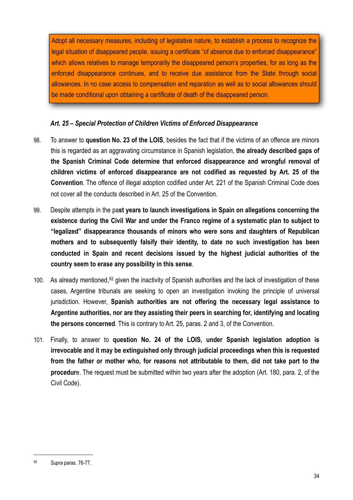Adopt all necessary measures, including of legislative nature, to establish a process to recognize the legal situation of disappeared people, issuing a certificate "of absence due to enforced disappearance" which allows relatives to manage temporarily the disappeared person's properties, for as long as the enforced disappearance continues, and to receive due assistance from the State through social allowances. In no case access to compensation and reparation as well as to social allowances should be made conditional upon obtaining a certificate of death of the disappeared person.

# <span id="page-33-0"></span>*Art. 25 – Special Protection of Children Victims of Enforced Disappearance*

- 98. To answer to **question No. 23 of the LOIS**, besides the fact that if the victims of an offence are minors this is regarded as an aggravating circumstance in Spanish legislation, **the already described gaps of the Spanish Criminal Code determine that enforced disappearance and wrongful removal of children victims of enforced disappearance are not codified as requested by Art. 25 of the Convention**. The offence of illegal adoption codified under Art. 221 of the Spanish Criminal Code does not cover all the conducts described in Art. 25 of the Convention.
- 99. Despite attempts in the pa**st years to launch investigations in Spain on allegations concerning the existence during the Civil War and under the Franco regime of a systematic plan to subject to "legalized" disappearance thousands of minors who were sons and daughters of Republican mothers and to subsequently falsify their identity, to date no such investigation has been conducted in Spain and recent decisions issued by the highest judicial authorities of the country seem to erase any possibility in this sense**.
- 100. As already mentioned,<sup>[92](#page-33-1)</sup> given the inactivity of Spanish authorities and the lack of investigation of these cases, Argentine tribunals are seeking to open an investigation invoking the principle of universal jurisdiction. However, **Spanish authorities are not offering the necessary legal assistance to Argentine authorities, nor are they assisting their peers in searching for, identifying and locating the persons concerned**. This is contrary to Art. 25, paras. 2 and 3, of the Convention.
- 101. Finally, to answer to **question No. 24 of the LOIS, under Spanish legislation adoption is irrevocable and it may be extinguished only through judicial proceedings when this is requested from the father or mother who, for reasons not attributable to them, did not take part to the procedur**e. The request must be submitted within two years after the adoption (Art. 180, para. 2, of the Civil Code).

<span id="page-33-1"></span><sup>92</sup> *Supra* paras. 76-77.